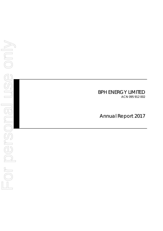# BPH ENERGY LIMITED ACN 095 912 002

Annual Report 2017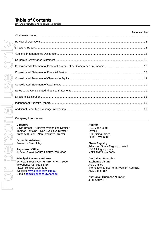# **Table of Contents**

BPH Energy Limited and its controlled entities

| Page Number |
|-------------|
|             |
|             |
|             |
|             |
|             |
|             |
|             |
|             |
|             |
|             |
|             |
|             |

# **Company Information**

#### **Directors**

David Breeze – Chairman/Managing Director Thomas Fontaine – Non Executive Director Anthony Huston - Non Executive Director

**Scientific Advisors**  Professor David Liley

**Registered Office**  14 View Street, NORTH PERTH WA 6006

**Principal Business Address**  14 View Street, NORTH PERTH WA 6006 Telephone: (08) 9328 8366 Facsimile: (08) 9328 8733 Website: www.bphenergy.com.au E-mail: admin@bphenergy.com.au

# **Auditor**

HLB Mann Judd Level 4 130 Stirling Street PERTH WA 6000

#### **Share Registry**

Advanced Share Registry Limited 110 Stirling Highway NEDLANDS WA 6009

# **Australian Securities**

**Exchange Listing** ASX Limited (Home Exchange: Perth, Western Australia) ASX Code: BPH

**Australian Business Number**  41 095 912 002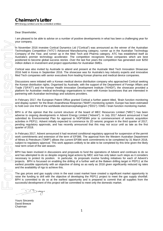#### Dear Shareholder,

I am pleased to be able to advise on a number of positive developments in what has been a challenging year for your company.

In November 2016 investee Cortical Dynamics Ltd ("Cortical") was announced as the winner of the Australian Technologies Competition ("ATC") Advanced Manufacturing category, runner up in the Australian Technology Company of the Year, and runner up in the Med Tech and Pharma category. ATC has established itself as Australia's premier technology accelerator. The competition recognizes those companies which are best positioned to become global success stories .Over the last five years the competition has generated over \$250 million dollars in investment and project opportunities for Australian SMEs.

Cortical was also invited by Austrade to attend and present at the Austrade Med Tech Innovation Showcase 2016 held in Korea in September 2016. The showcase was for Australia's key industry experts and innovative Med Tech companies with senior executives from leading Korean pharma and medical device companies.

Discussions were initiated with a Korean medical device distribution company who approached Cortical seeking the Korean distribution rights. Organised by Austrade, with the support of the Department of Foreign Affairs and Trade ("DFAT") and the Korean Health Innovation Development Institute ("KHIDI"), the showcase provided a platform for Australian medical technology organisations to meet with Korean businesses that are interested in partnering with Australian technology and solutions providers.

In February 2017, the European Patent Office granted Cortical a further patent titled, 'Brain function monitoring and display system' for the Brain Anaesthesia Response ("BAR") monitoring system. Europe has been estimated to hold over one third of the worldwide electroencephalogram ("EEG") / EMG / brain function monitoring market.

BPH is of the opinion that the current structure of the board of MEC Resources Limited ("MEC") has been adverse to ongoing developments in Advent Energy Limited ("Advent"). In July 2017 Advent announced it had submitted its Environmental Plan for approval to NOPSEMA prior to commencement of seismic acquisition activities in PEP11. Advent initially expected to commence its 2D seismic program in the third quarter of 2017, pending regulatory approvals, and has recently announced that this may not occur until as late as the first quarter of 2018.

In February 2017, Advent announced it had received conditional regulatory approval for suspension of the permit work commitments and extension of the term of EP386. The approval from the Western Australian Department of Mines & Petroleum ("DMP") allows the current EP386 work commitments to be completed by 31 March 2018, subject to regulatory approval. This work appears unlikely to be able to be completed by this time given the likely near term onset of the wet season.

BPH has been involved in discussions and proposals to fund the operations of Advent and continues to do so and has attempted to do so despite ongoing legal actions by MEC and has only taken such steps as it considers necessary to protect its position. In particular, its proposals involve funding initiatives for each of Advent's projects. BPH is focussed on enabling the drilling of a further well at the Baleen drilling target in PEP11 at the earliest possible opportunity with an objective of doing so as early as 2018 given significantly reduced rig rates and the availability of rigs to achieve this.

The gas prices and gas supply crisis in the east coast market have created a significant market opportunity to raise the funding to drill with the objective of developing the PEP11 project to meet the gas supply shortfall. BPH is committed to do so at the earliest opportunity and is prepared to commit that all supplies from the successful development of this project will be committed to meet only the domestic market.

Yours Sincerely David Breeze Chairman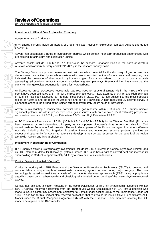# **Investment in Oil and Gas Exploration Company**

#### Advent Energy Ltd ("Advent"):

BPH Energy currently holds an interest of 27% in unlisted Australian exploration company Advent Energy Ltd ("Advent").

Advent has assembled a range of hydrocarbon permits which contain near term production opportunities with pre-existing infrastructure and exploration upside.

Advent's assets include EP386 and RL1 (100%) in the onshore Bonaparte Basin in the north of Western Australia and Northern Territory and PEP11 (85%) in the offshore Sydney Basin.

The Sydney Basin is a proven petroleum basin with excellent potential for the discovery of gas. Advent has demonstrated an active hydrocarbon system with seeps reported in the offshore area and sampling has indicated the presence of thermogenic hydrocarbon gas. This is considered to occur in basins actively generating hydrocarbons and/or that contain excellent migration pathways. Previous drilling has shown that the early Permian geological sequence is mature for hydrocarbons.

Undiscovered gross prospective recoverable gas resources for structural targets within the PEP11 offshore permit have been estimated at 5.7 Tcf (at the Best Estimate level). A Low Estimate of 0.3 Tcf and High Estimate of 67.8 Tcf has been assessed by Pangean Resources in 2010. PEP 11 lies adjacent to the most populous region of Australia and the major industrial hub and port of Newcastle. A high resolution 2D seismic survey is planned to assist in the drilling of the Baleen target approximately 30 km south of Newcastle.

Advent is investigating a considerable potential shale gas resource within EP386 and RL1. Studies indicate significant potential upside in prospective shale gas resources with an estimated (Best Estimate) prospective recoverable resource of 9.8 Tcf (Low Estimate is 1.9 Tcf and High Estimate is 25.4 Tcf).

A 2C Contingent Resource of 11.5 Bcf (1C is 0.3 Bcf and 3C is 45.8 Bcf) for the Weaber Gas Field (RL1) has been assessed by an independent third party as a component of Advent's drive to commercialise its 100% owned onshore Bonaparte Basin assets. The rapid development of the Kununurra region in northern Western Australia, including the Ord Irrigation Expansion Project and numerous resource projects, provides an exceptional opportunity for Advent to potentially develop its nearby gas resources for the benefit of the region along with Advent and its shareholders.

#### **Investment in Biotechnology Companies**

BPH Energy's existing Biotechnology investments include its 3.89% interest in Cortical Dynamics Limited (and its 20% interest in Molecular Discovery Systems Limited. BPH also has a right to convert debt and increase its shareholding in Cortical to approximately 14 % by a conversion of its loan facilities.

#### Cortical Dynamics Limited ("Cortical"):

Cortical is working with BPH Energy and the Swinburne University of Technology ("SUT") to develop and commercialise a unique depth of anaesthesia monitoring system for use during major surgery. The core technology is based on real time analysis of the patients electroencephalograph (EEG) using a proprietary algorithm based on a mathematically and physiologically detailed understanding of the brain's rhythmic electrical activity.

Cortical has achieved a major milestone in the commercialisation of its Brain Anaesthesia Response Monitor (BAR). Cortical received notification from the Therapeutic Goods Administration ("TGA) that a decision was made to issue a conformity assessment certificate to Cortical under section 41EC of the Therapeutic Goods Act 1989. In addition to this Cortical also received notification that to it would be issued MRA EC certificates ("CE Mark") under the Mutual Recognition Agreement (MRA) with the European Union therefore allowing the CE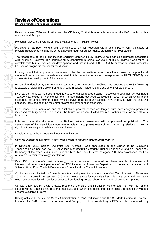Having achieved TGA certification and the CE Mark, Cortical is now able to market the BAR monitor within Australia and Europe.

Molecular Discovery Systems Limited ("MDSystems") - HLS5 Project:

 $\overline{\phantom{0}}$ MDSystems has been working with the Molecular Cancer Research Group at the Harry Perkins Institute of Medical Research to validate HLS5 as a novel tumour suppressor gene, particularly for liver cancer.

The researchers at the Perkins Institute originally identified HLS5 (TRIM35) as a tumour suppressor associated with leukemia. However, in a separate study conducted in China, low levels of HLS5 (TRIM35) was found to correlate with human liver cancer development, and that reduced HLS5 (TRIM35) expression could potentially be used as prognostic marker for the disease.

In a significant further phase of this research the Perkins Institute researchers have developed a pre-clinical model of liver cancer and have demonstrated, in this model that removing the expression of HLS5 (TRIM35) can accelerate the development of liver disease.

Research undertaken by the Perkins Institute team, and laboratories in China, has revealed that HLS5 (TRIM35) is capable of slowing the growth of tumour cells in culture, including suppression of liver cancer cells.

Liver cancer ranks as the second leading cause of cancer-related deaths in developing countries. An estimated 782,500 new cases of liver cancer and 745,500 deaths occurred worldwide in 2012, of which China alone accounted for almost 50% of cases. While survival rates for many cancers have improved over the past two decades, there has been no major improvement in liver cancer prognosis.

Liver cancer also looms as one of Australia's greatest cancer challenges, with new analyses predicting increased mortality from the disease in the future. At present, limited treatment options exist for patients with liver cancer.

It is anticipated that the work of the Perkins Institute researchers will be prepared for publication. The development of this pre-clinical model may enable MDS to pursue research and partnering relationships with a significant new range of collaborators and investors.

Developments in the Company's investments include:

#### *Cortical Dynamics Ltd (BPH 4.56% with a right to move to approximately 14%)*

In November 2016 Cortical Dynamics Ltd ("Cortical") was announced as the winner of the Australian Technologies Competition ("ATC") Advanced Manufacturing category, runner up in the Australian Technology Company of the Year, and runner up in the Med Tech and Pharma category. ATC has established itself as Australia's premier technology accelerator.

Over 130 of Australia's best technology companies were considered for these awards. Australian and international government partners of the ATC include the Australian Department of Industry, Innovation and Science, Hong Kong Trade & Development Council and UK Trade & Investment.

Cortical was also invited by Austrade to attend and present at the Austrade Med Tech Innovation Showcase 2016 held in Korea in September 2016. The showcase was for Australia's key industry experts and innovative Med Tech companies with senior executives from leading Korean pharma and medical device companies.

Cortical Chairman, Mr David Breeze, presented Cortical's Brain Function Monitor and met with four of the leading Korean teaching and research hospitals, all of whom expressed interest in using the technology when it became available in Korea.

Having achieved Therapeutic Goods Administration ("TGA") certification and the CE Mark, Cortical is now able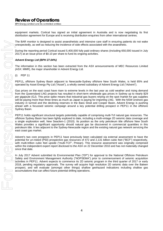equipment markets. Cortical has signed an initial agreement in Australia and is now negotiating its first distribution agreement for Europe and is receiving distribution enquiries from other international centres.

The BAR monitor is designed to assist anaesthetists and intensive care staff in ensuring patients do not wake unexpectedly, as well as reducing the incidence of side effects associated with the anaesthetic.

During the reporting period Cortical issued 5,400,000 fully paid ordinary shares (including 650,000 issued in July 2017) at an issue price of \$0.10 per share to fund its ongoing activities.

# *Advent Energy Ltd (BPH 27.04%)*

The information in this section has been extracted from the ASX announcements of MEC Resources Limited (ASX: MMR), the major shareholder in Advent Energy Ltd.

#### (i) PEP 11

PEP11**,** offshore Sydney Basin adjacent to Newcastle-Sydney offshore New South Wales, is held 85% and operated by Asset Energy Pty Ltd ("Asset"), a wholly owned subsidiary of Advent Energy Ltd ("Advent").

Gas prices on the east coast have risen to extreme levels in the last year as cold weather and rising demand from the Queensland LNG projects has resulted in short-term wholesale gas prices in Sydney up to nearly \$29 per gigajoule (GJ). This price spike means that industrial gas buyers relying on the spot market for gas supplies will be paying more than three times as much as Japan is paying for importing LNG. With the NSW onshore gas industry in turmoil and the declining reserves in the Bass Strait and Cooper Basin, Advent Energy is pushing ahead with a focussed seismic campaign around a key potential drilling prospect in PEP11 in the offshore Sydney Basin.

PEP11 holds significant structural targets potentially capable of comprising multi-Tcf natural gas resources. The offshore Sydney Basin has been lightly explored to date, including a multi-vintage 2D seismic data coverage and a single exploration well, New Seaclem-1 (2010). Its position as the only petroleum title offshore New South Wales provides a significant opportunity should natural gas be discovered in commercial quantities in this petroleum title. It lies adjacent to the Sydney-Newcastle region and the existing natural gas network servicing the east coast gas market.

Advent's two core prospects in PEP11 have previously been calculated via external assessment to have the potential for un-risked (P50) prospective gas resources of 472 and 2,131 billion cubic feet ("BCF") respectively, with multi-trillion cubic feet upside ("multi-TCF", Pmean). This resource assessment was originally comprised within the independent expert report disclosed to the ASX on 22 December 2010 and has not materially changed since that date.

In July 2017 Advent submitted its Environmental Plan ("EP") for approval to the National Offshore Petroleum Safety and Environment Management Authority ("NOPSEMA") prior to commencement of seismic acquisition activities in PEP11. Advent expects to commence its 2D seismic program in the third quarter of 2017 or early 2018, pending regulatory approvals. The survey will acquire high resolution 2D seismic data over the Baleen prospect, and will evaluate (amongst other things) shallow geohazard indications including shallow gas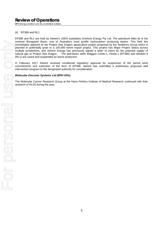#### (ii) EP386 and RL1

EP386 and RL1 are held by Advent's 100% subsidiary Onshore Energy Pty Ltd. The petroleum titles lie in the onshore Bonaparte Basin, one of Australia's most prolific hydrocarbon producing basins. This field lies immediately adjacent to the Project Sea Dragon aquaculture project proposed by the Seafarms Group which is planned to potentially grow to a 100,000 tonne export project. This project has Major Project Status across multiple jurisdictions, and Advent Energy has previously signed a letter of intent for the potential supply of natural gas to Project Sea Dragon. . The petroleum wells Waggon Creek-1, Vienta-1 (EP386) and Weaber-4 (RL1) are cased and suspended as future producers.

In February 2017 Advent received conditional regulatory approval for suspension of the permit work commitments and extension of the term of EP386. Advent has submitted a preliminary proposed well intervention program to the designated authority for consideration. .

#### *Molecular Discover Systems Ltd (BPH 20%)*

The Molecular Cancer Research Group at the Harry Perkins Institute of Medical Research continued with their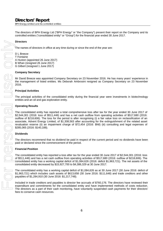The directors of BPH Energy Ltd ("BPH Energy" or "the Company") present their report on the Company and its controlled entities ("consolidated entity" or "Group") for the financial year ended 30 June 2017.

# **Directors**

The names of directors in office at any time during or since the end of the year are:

#### D L Breeze

T Fontaine

A Huston (appointed 26 June 2017) B Whan (resigned 26 June 2017) G Gilbert (resigned 1 June 2017)

# **Company Secretary**

Mr David Breeze was appointed Company Secretary on 23 November 2016. He has many years' experience in the management of listed entities. Ms Deborah Ambrosini resigned as Company Secretary on 23 November 2016.

#### **Principal Activities**

The principal activities of the consolidated entity during the financial year were investments in biotechnology entities and an oil and gas exploration entity.

#### **Operating Results**

The consolidated entity has reported a total comprehensive loss after tax for the year ended 30 June 2017 of \$2,544,301 (2016: loss of \$511,446) and has a net cash outflow from operating activities of \$517,680 (2016: outflow of \$218,606). The loss for the period is after recognising (i) a fair value loss on reclassification of an associate, Advent Energy Limited, of \$1,308,563 after accounting for the extinguishment of the related asset revaluation reserve (ii) an impairment charge of \$72,454 (2016: \$Nil) (iii) consulting and legal expenses of \$285,065 (2016: \$140,188). Directors<br>
The names of directors in office at any line during or since the end of the year are:<br>
The dimension of the directors as a papel of Corear 2017,<br>
Company Secretary and 2017 and their case and 2017<br>
A Collibert (

#### **Dividends**

The directors recommend that no dividend be paid in respect of the current period and no dividends have been paid or declared since the commencement of the period.

# **Financial Position**

The consolidated entity has reported a loss after tax for the year ended 30 June 2017 of \$2,544,301 (2016: loss of \$511,446) and has a net cash outflow from operating activities of \$517,680 (2016: outflow of \$218,606). The consolidated entity has a working capital deficit of \$1,084,626 (2016: deficit \$1,963,721). The net assets of the consolidated entity decreased by \$15,927,700 to \$4,386,329 at 30 June 2017.

The consolidated entity has a working capital deficit of \$1,084,626 as at 30 June 2017 (30 June 2016: deficit of \$1,963,721) which includes cash assets of \$613,658 (30 June 2016: \$111,648) and trade creditors and other payables of \$1,284,910 (30 June 2016: \$1,217,748).

Included in trade creditors and payables is director fee accruals of \$760,176. The directors have reviewed their expenditure and commitments for the consolidated entity and have implemented methods of costs reduction. fees to conserve cash resources.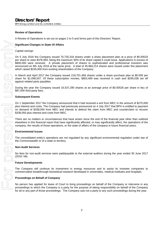# **Review of Operations**

A Review of Operations is set out on pages 2 to 5 and forms part of this Directors' Report.

# **Significant Changes in State Of Affairs**

#### *Capital raisings*

On 5 July 2016 the Company issued 70,730,318 shares under a share placement plan at a price of \$0.00533 per share to raise \$376,993, being the maximum 30% of its share capital it could issue. Applications in excess of \$800,000 were received. A private placement of shares to sophisticated and professional investors was announced on 8th July 2016 at the same price. A total of 45,966,214 shares were issued under this placement which raised \$245,000 from existing shareholders of the Company. **profile and Transpos in State Of Affairs**<br>
Copies Jusy 2016 the Company issued 70,730,318 shorts under a shorte placement plan at a precious of the Company is a party for the purpose and the placement with responsibility

In March and April 2017 the Company issued 219,701,468 shares under a share purchase plan at \$0.005 per share for \$1,098,507. Of these subscription monies, \$803,469 was received in cash and \$295,038 set off against related party payables.

During the year the Company issued 16,537,290 shares at an average price of \$0.00526 per share in lieu of \$87,000 third party fees.

#### **Subsequent Events**

On 1 September 2017 the Company announced that it had received a writ from MEC in the amount of \$270,000 plus interest and costs. The Company had previously announced on 4 July 2017 that BPH is entitled to payment on demand of \$338,050 from MEC and intends to defend the claim from MEC and counterclaim to recover \$338,050 plus interest and costs from MEC.

There are no matters or circumstances that have arisen since the end of the financial year other than outlined elsewhere in this financial report that have significantly affected, or may significantly affect, the operations of the company, the results of those operations, or the state of affairs of the company in future financial years.

#### **Environmental Issues**

The consolidated entity's operations are not regulated by any significant environmental regulation under law of the Commonwealth or of a state or territory.

#### **Non-Audit Services**

No fees for non-audit services were paid/payable to the external auditors during the year ended 30 June 2017 (2016: Nil).

#### **Future Developments**

The Company will continue its investment in energy resources and to assist its investee companies to commercialise breakthrough biomedical research developed in universities, medical institutes and hospitals.

# **Proceedings on Behalf of Company**

No person has applied for leave of Court to bring proceedings on behalf of the Company or intervene in any for all or any part of those proceedings. The Company was not a party to any such proceedings during the year.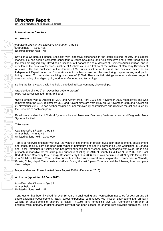#### **Information on Directors**

#### **D L Breeze**

*Managing Director and Executive Chairman – Age 63*  Shares held – 77,669,486 Unlisted options held – Nil

David is a Corporate Finance Specialist with extensive experience in the stock broking industry and capital markets. He has been a corporate consultant to Daiwa Securities; and held executive and director positions in the stock broking industry. David has a Bachelor of Economics and a Masters of Business Administration, and is a Fellow of the Financial Services Institute of Australasia, and a Fellow of the Institute of Company Directors of Australia. He has published in the Journal of Securities Institute of Australia and has also acted as an Independent Expert under the Corporations Act. He has worked on the structuring, capital raising and public listing of over 70 companies involving in excess of \$250M. These capital raisings covered a diverse range of areas including oil and gas, gold, food, manufacturing and technology. **Montage Constraine the mass of the matter of Constraine Constraine in the section of the matter of the matter or ignores the matter of the matter of the matter of the matter or ignores the been particle to the matter of** 

During the last 3 years David has held the following listed company directorships:

Grandbridge Limited (from December 1999 to present) MEC Resources Limited (from April 2005)\*

\*David Breeze was a Director of MEC and Advent from April 2005 and November 2005 respectively and was removed from the ASIC register by MEC and Advent directors from MEC on 23 November 2016 and Advent on 26 November 2016 .He has neither resigned or nor removed by shareholders and disputes the actions taken by the Directors of each company.

David is also a director of Cortical Dynamics Limited, Molecular Discovery Systems Limited and Diagnostic Array Systems Limited.

#### **T Fontaine**

*Non-Executive Director – Age 53*  Shares held – 4,384,446 Unlisted options held – 2,000,000

Tom is a reservoir engineer with over 25 years of experience in project evaluation management, development and capital raising. Tom has been part owner of petroleum engineering companies Epic Consulting in Canada and Focal Petroleum in Australia and has provided technical services to many companies worldwide. He is also primarily responsible for the startup and subsequent listing on ASX of Bounty Oil & Gas NL in 2002, and Coal Bed Methane Company Pure Energy Resources Pty Ltd in 2006 which was acquired in 2009 by BG Group PLc in a \$1 billion takeover. Tom is also currently involved with several small exploration companies in Canada, Russia, Cuba, Nepal, Timor Leste and Africa. During the last 3 years Tom has held the following listed company directorships.

Magnum Gas and Power Limited (from August 2010 to December 2016)

#### **A Huston (appointed 26 June 2017)**

*Non-Executive Director – Age 62*  Shares held – Nil Unlisted options held – Nil

Tony Huston has been involved for over 35 years in engineering and hydrocarbon industries for both on and off shore exploration/development. Early career experience commenced with Fitzroy Engineering Ltd, primarily working on development of onshore oil fields. In 1996 Tony formed his own E&P Company on re-entry of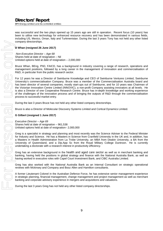# **Directors' Report**

BPH Energy Limited and its controlled entities

was successful and the two plays opened up 15 years ago are still in operation. Recent focus (10 years) has been to utilise new technology for enhanced resource recovery and has been demonstrated in various fields, including US, Mexico, Oman, Italy and Turkmenistan. During the last 3 years Tony has not held any other listed company directorships.

# **B Whan (resigned 26 June 2017)**

# *Non-Executive Director – Age 68*

Shares held at date of resignation – Nil Unlisted options held at date of resignation – 2,000,000

Bruce Whan, BEng, PhD, FAICD, has a background in industry covering a range of research, operations and management positions, followed by a long career in the management of innovation and commercialisation of R&D, in particular from the public research sector.

For 12 years he was a Director of Swinburne Knowledge and CEO of Swinburne Ventures Limited, Swinburne University's commercialisation Company. Bruce was a member of the Commercialisation Australia board and has been director of several companies, mostly start-ups out of Swinburne, and for 10 years was Chairman of the Victorian Innovation Centre Limited (INNOVIC), a non-profit Company assisting innovators at all levels. He is also a Director of one Cooperative Research Centre. Bruce has in-depth knowledge and working experience of the challenges of the innovation process and of bringing the outputs of R&D through the commercialisation process to successful market entry. ompany directorships.<br> **Banking mode 30 June 2017)**<br>
Mon-Encetive Director - Age 68<br>
Shitted options held at date of resignation - Nii<br>
Unities held at date of resignation - Niii<br>
Unities per liberations , followed by a lo

During the last 3 years Bruce has not held any other listed company directorships.

Bruce is also a Director of Molecular Discovery Systems Limited and Cortical Dynamics Limited.

# **G Gilbert (resigned 1 June 2017)**

*Executive Director – Age 69*  Shares held at date of resignation – 961,538 Unlisted options held at date of resignation– 2,000,000

Greg is a specialist in strategy and planning and most recently was the Science Adviser to the Federal Minister for Industry and Science. He has a Masters in Science from Cranfield University in the UK and, in addition, has a Masters in Health Administration from La Trobe University, an MBA from Deakin University, a BA from the University of Queensland, and a Dip.App Sc from the Royal Military College Duntroon. He is currently undertaking a doctorate with a research interest in productivity efficiency.

Greg has an extensive background in the health and aged care sector as well as in merchant banking and banking, having held the positions in global strategy and finance with the National Australia Bank, as well as having worked in executive roles with Capel Court Investment Bank, and CIBC Australia Limited.

Greg has also worked with the National Australia Bank as an Internal Consultant on strategic operational reviews with Mckinsey and Company and Booz Allen and Hamilton consultants.

A former Lieutenant Colonel in the Australian Defence Force, he has extensive senior management experience in strategic planning, financial management, change management and project management as well as merchant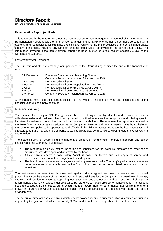# **Remuneration Report (Audited)**

This report details the nature and amount of remuneration for key management personnel of BPH Energy. The Remuneration Report details the remuneration arrangements for KMP who are defined as those persons having authority and responsibility for planning, directing and controlling the major activities of the consolidated entity, directly or indirectly, including any Director (whether executive or otherwise) of the consolidated entity. The information provided in the Remuneration Report has been audited as a required by Section 308(3C) of the Corporations Act 2001.

#### *Key Management Personnel*

The Directors and other key management personnel of the Group during or since the end of the financial year were:

| D L Breeze -     | <b>Executive Chairman and Managing Director</b> |
|------------------|-------------------------------------------------|
|                  | Company Secretary (appointed 23 November 2016)  |
| $T$ Fontaine $-$ | Non Executive Director                          |
| A Huston -       | Non Executive Director (appointed 26 June 2017) |
| $G$ Gilbert $-$  | Non Executive Director (resigned 1 June 2017)   |
| $B$ Whan $-$     | Non-Executive Director (resigned 26 June 2017)  |
| D Ambrosini -    | Company Secretary (resigned 23 November 2016)   |

All the parties have held their current position for the whole of the financial year and since the end of the financial year unless otherwise stated.

#### *Remuneration Policy*

The remuneration policy of BPH Energy Limited has been designed to align director and executive objectives with shareholder and business objectives by providing a fixed remuneration component and offering specific long-term incentives as determined by the board and/or shareholders. The remuneration report as contained in the 2016 financial accounts was adopted at the Company's 2016 annual general meeting. The board believes the remuneration policy to be appropriate and effective in its ability to attract and retain the best executives and directors to run and manage the Company, as well as create goal congruence between directors, executives and shareholders. Frequencial responses the government of MeD with the government) and the government of the government of the government of the government of the government of the government of the government of the government benefits. Fo

The board's policy for determining the nature and amount of remuneration for board members and senior executives of the Company is as follows:

- The remuneration policy, setting the terms and conditions for the executive directors and other senior executives, was developed and approved by the board.
- All executives receive a base salary (which is based on factors such as length of service and experience), superannuation, fringe benefits and options.
- The board reviews executive packages annually by reference to the Company's performance, executive performance and comparable information from industry sectors and other listed companies in similar industries.

The performance of executives is measured against criteria agreed with each executive and is based predominantly on the amount of their workloads and responsibilities for the Company. The board may, however, exercise its discretion in relation to approving incentives, bonuses and options, and can recommend changes to recommendations. Any changes must be justified by reference to measurable performance criteria. The policy is designed to attract the highest calibre of executives and reward them for performance that results in long-term growth in shareholder wealth. Executives are also entitled to participate in the employee share and option arrangements.

The executive directors and executives which receive salaries receive a superannuation guarantee contribution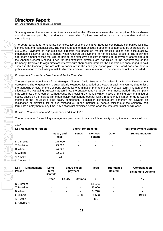Shares given to directors and executives are valued as the difference between the market price of those shares and the amount paid by the director or executive. Options are valued using an appropriate valuation methodology.

# *Employment Contracts of Directors and Senior Executives*

#### *Details of Remuneration for the year ended 30 June 2017*

| 2017                         |                    |                            |                                 |                          |                       |
|------------------------------|--------------------|----------------------------|---------------------------------|--------------------------|-----------------------|
| <b>Key Management Person</b> |                    | <b>Short-term Benefits</b> | <b>Post-employment Benefits</b> |                          |                       |
|                              | Salary and<br>fees | <b>Bonus</b>               | Non-cash<br>benefit             | Other                    | <b>Superannuation</b> |
| D L Breeze                   | 148,000            | -                          | $\,$                            | $\blacksquare$           |                       |
| T Fontaine                   | 25,000             | -                          | -                               | $\blacksquare$           | -                     |
| <b>B</b> Whan                | 24,728             | -                          | ۰                               | $\blacksquare$           |                       |
| <b>G</b> Gilbert             | 22,913             | -                          | $\,$                            | $\blacksquare$           | -                     |
| A Huston                     | 411                | -                          |                                 | $\blacksquare$           |                       |
| D Ambrosini                  | ۰                  | -                          |                                 | $\overline{\phantom{a}}$ |                       |

| The board policy is to remunerate non-executive directors at market rates for comparable companies for time,<br>commitment and responsibilities. The maximum pool of non-executive director fees approved by shareholders is<br>\$250,000. Payments to non-executive directors are based on market practice, duties and accountability.<br>Independent external advice is sought when required on payments to non-executive directors. The maximum<br>aggregate amount of fees that can be paid to non-executive directors is subject to approval by shareholders at<br>the Annual General Meeting. Fees for non-executive directors are not linked to the performance of the<br>Company. However, to align directors' interests with shareholder interests, the directors are encouraged to hold<br>shares in the Company and are able to participate in the employee option plan. The board does not have a<br>policy in relation to the limiting of risk to directors and executives in relation to the shares and options provided.<br><b>Employment Contracts of Directors and Senior Executives</b><br>The employment conditions of the Managing Director, David Breeze, is formalised in a Product Development<br>Agreement. The engagement is automatically extended for a period of 2 years at each anniversary date unless<br>the Managing Director or the Company give notice of termination prior to the expiry of each term. The agreement<br>stipulates the Managing Director may terminate the engagement with a six month notice period. The company<br>may terminate the agreement without cause by providing six months written notice or making payment in lieu of<br>notice, based on the individual's annual salary component together with a redundancy payment of up to twelve<br>months of the individual's fixed salary component. Termination payments are generally not payable on<br>resignation or dismissal for serious misconduct. In the instance of serious misconduct the company can |                                  |                    |                                            |                |                               |                                                   |
|-------------------------------------------------------------------------------------------------------------------------------------------------------------------------------------------------------------------------------------------------------------------------------------------------------------------------------------------------------------------------------------------------------------------------------------------------------------------------------------------------------------------------------------------------------------------------------------------------------------------------------------------------------------------------------------------------------------------------------------------------------------------------------------------------------------------------------------------------------------------------------------------------------------------------------------------------------------------------------------------------------------------------------------------------------------------------------------------------------------------------------------------------------------------------------------------------------------------------------------------------------------------------------------------------------------------------------------------------------------------------------------------------------------------------------------------------------------------------------------------------------------------------------------------------------------------------------------------------------------------------------------------------------------------------------------------------------------------------------------------------------------------------------------------------------------------------------------------------------------------------------------------------------------------------------------------------------------------------------------------------------------------------|----------------------------------|--------------------|--------------------------------------------|----------------|-------------------------------|---------------------------------------------------|
| terminate employment at any time. Any options not exercised before or on the date of termination will lapse.<br>Details of Remuneration for the year ended 30 June 2017<br>The remuneration for each key management personnel of the consolidated entity during the year was as follows:                                                                                                                                                                                                                                                                                                                                                                                                                                                                                                                                                                                                                                                                                                                                                                                                                                                                                                                                                                                                                                                                                                                                                                                                                                                                                                                                                                                                                                                                                                                                                                                                                                                                                                                                |                                  |                    |                                            |                |                               |                                                   |
| 2017                                                                                                                                                                                                                                                                                                                                                                                                                                                                                                                                                                                                                                                                                                                                                                                                                                                                                                                                                                                                                                                                                                                                                                                                                                                                                                                                                                                                                                                                                                                                                                                                                                                                                                                                                                                                                                                                                                                                                                                                                    |                                  |                    |                                            |                |                               |                                                   |
| <b>Key Management Person</b>                                                                                                                                                                                                                                                                                                                                                                                                                                                                                                                                                                                                                                                                                                                                                                                                                                                                                                                                                                                                                                                                                                                                                                                                                                                                                                                                                                                                                                                                                                                                                                                                                                                                                                                                                                                                                                                                                                                                                                                            |                                  |                    | <b>Short-term Benefits</b><br><b>Bonus</b> | Non-cash       | Other                         | <b>Post-employment Benefits</b><br>Superannuation |
|                                                                                                                                                                                                                                                                                                                                                                                                                                                                                                                                                                                                                                                                                                                                                                                                                                                                                                                                                                                                                                                                                                                                                                                                                                                                                                                                                                                                                                                                                                                                                                                                                                                                                                                                                                                                                                                                                                                                                                                                                         |                                  | Salary and<br>fees |                                            | benefit        |                               |                                                   |
| D L Breeze                                                                                                                                                                                                                                                                                                                                                                                                                                                                                                                                                                                                                                                                                                                                                                                                                                                                                                                                                                                                                                                                                                                                                                                                                                                                                                                                                                                                                                                                                                                                                                                                                                                                                                                                                                                                                                                                                                                                                                                                              |                                  | 148,000            |                                            |                |                               |                                                   |
| T Fontaine                                                                                                                                                                                                                                                                                                                                                                                                                                                                                                                                                                                                                                                                                                                                                                                                                                                                                                                                                                                                                                                                                                                                                                                                                                                                                                                                                                                                                                                                                                                                                                                                                                                                                                                                                                                                                                                                                                                                                                                                              |                                  | 25,000             |                                            |                |                               |                                                   |
| <b>B</b> Whan                                                                                                                                                                                                                                                                                                                                                                                                                                                                                                                                                                                                                                                                                                                                                                                                                                                                                                                                                                                                                                                                                                                                                                                                                                                                                                                                                                                                                                                                                                                                                                                                                                                                                                                                                                                                                                                                                                                                                                                                           |                                  | 24,728             |                                            |                |                               |                                                   |
| <b>G</b> Gilbert                                                                                                                                                                                                                                                                                                                                                                                                                                                                                                                                                                                                                                                                                                                                                                                                                                                                                                                                                                                                                                                                                                                                                                                                                                                                                                                                                                                                                                                                                                                                                                                                                                                                                                                                                                                                                                                                                                                                                                                                        |                                  | 22,913             |                                            |                |                               |                                                   |
| A Huston                                                                                                                                                                                                                                                                                                                                                                                                                                                                                                                                                                                                                                                                                                                                                                                                                                                                                                                                                                                                                                                                                                                                                                                                                                                                                                                                                                                                                                                                                                                                                                                                                                                                                                                                                                                                                                                                                                                                                                                                                |                                  | 411                |                                            |                |                               |                                                   |
| <b>D</b> Ambrosini                                                                                                                                                                                                                                                                                                                                                                                                                                                                                                                                                                                                                                                                                                                                                                                                                                                                                                                                                                                                                                                                                                                                                                                                                                                                                                                                                                                                                                                                                                                                                                                                                                                                                                                                                                                                                                                                                                                                                                                                      |                                  |                    |                                            |                |                               |                                                   |
| Key<br><b>Management</b><br>Person                                                                                                                                                                                                                                                                                                                                                                                                                                                                                                                                                                                                                                                                                                                                                                                                                                                                                                                                                                                                                                                                                                                                                                                                                                                                                                                                                                                                                                                                                                                                                                                                                                                                                                                                                                                                                                                                                                                                                                                      | Long-<br>term<br><b>Benefits</b> |                    | <b>Share-based</b><br>payment              | <b>Total</b>   | Performance<br><b>Related</b> | Compensation<br><b>Relating to Options</b>        |
|                                                                                                                                                                                                                                                                                                                                                                                                                                                                                                                                                                                                                                                                                                                                                                                                                                                                                                                                                                                                                                                                                                                                                                                                                                                                                                                                                                                                                                                                                                                                                                                                                                                                                                                                                                                                                                                                                                                                                                                                                         | Other                            | <b>Equity</b>      | <b>Options</b>                             | \$             | $\%$                          | $\%$                                              |
| D L Breeze                                                                                                                                                                                                                                                                                                                                                                                                                                                                                                                                                                                                                                                                                                                                                                                                                                                                                                                                                                                                                                                                                                                                                                                                                                                                                                                                                                                                                                                                                                                                                                                                                                                                                                                                                                                                                                                                                                                                                                                                              |                                  |                    |                                            | 148,000        |                               |                                                   |
| T Fontaine                                                                                                                                                                                                                                                                                                                                                                                                                                                                                                                                                                                                                                                                                                                                                                                                                                                                                                                                                                                                                                                                                                                                                                                                                                                                                                                                                                                                                                                                                                                                                                                                                                                                                                                                                                                                                                                                                                                                                                                                              |                                  |                    |                                            | 25,000         |                               |                                                   |
| <b>B</b> Whan                                                                                                                                                                                                                                                                                                                                                                                                                                                                                                                                                                                                                                                                                                                                                                                                                                                                                                                                                                                                                                                                                                                                                                                                                                                                                                                                                                                                                                                                                                                                                                                                                                                                                                                                                                                                                                                                                                                                                                                                           |                                  |                    |                                            | 24,728         |                               |                                                   |
| <b>G</b> Gilbert                                                                                                                                                                                                                                                                                                                                                                                                                                                                                                                                                                                                                                                                                                                                                                                                                                                                                                                                                                                                                                                                                                                                                                                                                                                                                                                                                                                                                                                                                                                                                                                                                                                                                                                                                                                                                                                                                                                                                                                                        |                                  |                    | 5,680                                      | 28,593         |                               | 19.9%                                             |
| A Huston                                                                                                                                                                                                                                                                                                                                                                                                                                                                                                                                                                                                                                                                                                                                                                                                                                                                                                                                                                                                                                                                                                                                                                                                                                                                                                                                                                                                                                                                                                                                                                                                                                                                                                                                                                                                                                                                                                                                                                                                                |                                  |                    |                                            | 411            |                               |                                                   |
| D Ambrosini                                                                                                                                                                                                                                                                                                                                                                                                                                                                                                                                                                                                                                                                                                                                                                                                                                                                                                                                                                                                                                                                                                                                                                                                                                                                                                                                                                                                                                                                                                                                                                                                                                                                                                                                                                                                                                                                                                                                                                                                             |                                  |                    | ۰                                          | $\blacksquare$ |                               |                                                   |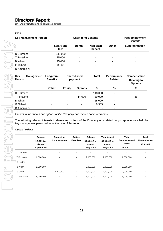# **Directors' Report**

BPH Energy Limited and its controlled entities

# **2016**

| <b>Key Management Person</b> |                                                           | <b>Post-employment</b><br><b>Benefits</b> |                |                          |  |
|------------------------------|-----------------------------------------------------------|-------------------------------------------|----------------|--------------------------|--|
|                              | Salary and<br>Non-cash<br><b>Bonus</b><br>fees<br>benefit |                                           | <b>Other</b>   | Superannuation           |  |
| D L Breeze                   | 148,000                                                   | ۰                                         | $\blacksquare$ | $\,$                     |  |
| T Fontaine                   | 25,000                                                    | ۰                                         | -              | $\blacksquare$           |  |
| B Whan                       | 25,000                                                    | ۰                                         | ۰              | $\overline{\phantom{a}}$ |  |
| G Gilbert                    | 8,333                                                     | -                                         | $\blacksquare$ | $\overline{\phantom{a}}$ |  |
| D Ambrosini                  | -                                                         | ۰                                         | -              | $\,$                     |  |

| Key<br><b>Management</b><br><b>Person</b> | Long-term<br><b>Benefits</b> |                          | Share-based<br>payment   | <b>Total</b>             | <b>Performance</b><br><b>Related</b> | <b>Compensation</b><br><b>Relating to</b><br><b>Options</b> |
|-------------------------------------------|------------------------------|--------------------------|--------------------------|--------------------------|--------------------------------------|-------------------------------------------------------------|
|                                           | <b>Other</b>                 | <b>Equity</b>            | <b>Options</b>           | \$                       | $\%$                                 | %                                                           |
| D L Breeze                                | ۰                            | ۰                        | $\blacksquare$           | 148,000                  | $\blacksquare$                       | $\,$                                                        |
| T Fontaine                                | -                            | $\overline{\phantom{a}}$ | 14,000                   | 39,000                   | $\blacksquare$                       | 36                                                          |
| B Whan                                    | ۰                            | $\overline{\phantom{a}}$ | $\overline{\phantom{a}}$ | 25,000                   | $\blacksquare$                       | $\blacksquare$                                              |
| <b>G</b> Gilbert                          | ۰                            | $\overline{\phantom{a}}$ | $\overline{\phantom{0}}$ | 8,333                    | $\overline{\phantom{a}}$             | -                                                           |
| D Ambrosini                               | $\,$                         | $\blacksquare$           |                          | $\overline{\phantom{0}}$ | $\,$                                 | $\,$                                                        |

# *Option holdings*

| в wnan           |                               |                                   |                                    | 25,000                                                 |                                     |                                                                                                    |                                                                                                                |
|------------------|-------------------------------|-----------------------------------|------------------------------------|--------------------------------------------------------|-------------------------------------|----------------------------------------------------------------------------------------------------|----------------------------------------------------------------------------------------------------------------|
| <b>G</b> Gilbert |                               |                                   |                                    |                                                        |                                     |                                                                                                    |                                                                                                                |
| D Ambrosini      |                               |                                   |                                    |                                                        |                                     |                                                                                                    |                                                                                                                |
|                  |                               |                                   |                                    |                                                        |                                     |                                                                                                    |                                                                                                                |
|                  |                               |                                   |                                    |                                                        |                                     |                                                                                                    |                                                                                                                |
|                  |                               |                                   |                                    |                                                        |                                     |                                                                                                    |                                                                                                                |
|                  | <b>Balance</b><br>1.7.2016 or | <b>Granted as</b><br>Compensation | <b>Options</b><br><b>Exercised</b> | <b>Balance</b><br>30.6.2017 or                         | <b>Total Vested</b><br>30.6.2017 or | <b>Total</b><br><b>Exercisable and</b><br><b>Vested</b>                                            | <b>Total</b><br><b>Unexercisable</b><br>30.6.2017                                                              |
|                  | appointment                   |                                   |                                    | resignation                                            | resignation                         | 30.6.2017                                                                                          |                                                                                                                |
| D L Breeze       |                               |                                   |                                    |                                                        |                                     |                                                                                                    |                                                                                                                |
| T Fontaine       | 2,000,000                     |                                   |                                    | 2,000,000                                              | 2,000,000                           | 2,000,000                                                                                          |                                                                                                                |
| A Huston         |                               |                                   |                                    |                                                        |                                     |                                                                                                    |                                                                                                                |
| <b>B</b> Whan    | 2,000,000                     |                                   |                                    | 2,000,000                                              | 2,000,000                           | 2,000,000                                                                                          |                                                                                                                |
| <b>G</b> Gilbert |                               | 2,000,000                         |                                    | 2,000,000                                              | 2,000,000                           | 2,000,000                                                                                          |                                                                                                                |
| D Ambrosini      | 5,000,000                     |                                   |                                    | 5,000,000                                              | 5,000,000                           | 5,000,000                                                                                          |                                                                                                                |
|                  |                               | Option holdings<br>date of        |                                    | key management personnel as at the date of this report | date of                             | 8,333<br>Interest in the shares and options of the Company and related bodies corporate<br>date of | The following relevant interests in shares and options of the Company or a related body corporate were held by |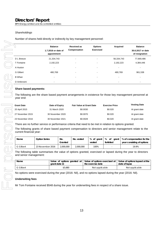# *Shareholdings*

Number of shares held directly or indirectly by key management personnel:

|                                                                                                                                                                                                                                                                                 |                      | <b>Balance</b><br>1.7.2016 or date of<br>appointment | Received as<br>Compensation | <b>Options</b><br><b>Exercised</b>                                                                        |                            | <b>Acquired</b> | <b>Balance</b><br>30.6.2017 or date<br>of resignation   |
|---------------------------------------------------------------------------------------------------------------------------------------------------------------------------------------------------------------------------------------------------------------------------------|----------------------|------------------------------------------------------|-----------------------------|-----------------------------------------------------------------------------------------------------------|----------------------------|-----------------|---------------------------------------------------------|
| D L Breeze                                                                                                                                                                                                                                                                      |                      | 21,334,743                                           |                             |                                                                                                           |                            | 56,334,743      | 77,669,486                                              |
| T Fontaine                                                                                                                                                                                                                                                                      |                      | 2,192,223                                            |                             |                                                                                                           |                            | 2,192,223       | 4,384,446                                               |
| A Huston                                                                                                                                                                                                                                                                        |                      |                                                      |                             |                                                                                                           |                            |                 |                                                         |
| <b>G</b> Gilbert                                                                                                                                                                                                                                                                |                      | 480,769                                              |                             |                                                                                                           |                            | 480,769         | 961,538                                                 |
| <b>B</b> Whan                                                                                                                                                                                                                                                                   |                      |                                                      |                             |                                                                                                           |                            |                 |                                                         |
| D Ambrosini                                                                                                                                                                                                                                                                     |                      |                                                      |                             |                                                                                                           |                            |                 |                                                         |
| <b>Share based payments:</b><br>The following are the share based payment arrangements in existence for those key management personnel at<br>year end:                                                                                                                          |                      |                                                      |                             |                                                                                                           |                            |                 |                                                         |
| <b>Grant Date</b>                                                                                                                                                                                                                                                               |                      | Date of Expiry                                       |                             | <b>Fair Value at Grant Date</b>                                                                           | <b>Exercise Price</b>      |                 | <b>Vesting Date</b>                                     |
| 20 April 2015                                                                                                                                                                                                                                                                   |                      | 31 March 2020                                        |                             | \$0.0030                                                                                                  | \$0.020                    |                 | At grant date                                           |
| 27 November 2015                                                                                                                                                                                                                                                                |                      | 30 November 2020                                     |                             | \$0.0070                                                                                                  | \$0.020                    |                 | At grant date                                           |
| 23 November 2016                                                                                                                                                                                                                                                                |                      | 30 November 2021                                     |                             | \$0.0028                                                                                                  | \$0.020                    |                 | At grant date                                           |
| There are no further service or performance criteria that need to be met in relation to options granted.                                                                                                                                                                        |                      |                                                      |                             |                                                                                                           |                            |                 |                                                         |
|                                                                                                                                                                                                                                                                                 |                      |                                                      |                             | The following grants of share based payment compensation to directors and senior management relate to the |                            |                 |                                                         |
|                                                                                                                                                                                                                                                                                 |                      |                                                      |                             |                                                                                                           |                            |                 |                                                         |
| Name                                                                                                                                                                                                                                                                            | <b>Option Series</b> | No.<br>Granted                                       | No. vested                  | % of grant<br>vested                                                                                      | %<br>of grant<br>forfeited |                 |                                                         |
| G Gilbert                                                                                                                                                                                                                                                                       | 23 November 2016     | 2,000,000                                            | 2,000,000                   | 100%                                                                                                      |                            |                 | 19.9%                                                   |
|                                                                                                                                                                                                                                                                                 |                      |                                                      |                             |                                                                                                           |                            |                 | % of compensation for the<br>year consisting of options |
| Name                                                                                                                                                                                                                                                                            |                      | Value of options granted at<br>grant date (i)        |                             | Value of options exercised at<br>the exercise date                                                        |                            | date of lapse   | Value of options lapsed at the                          |
| G Gilbert                                                                                                                                                                                                                                                                       |                      | \$5,680                                              |                             | Not applicable                                                                                            |                            |                 | Not applicable                                          |
| current financial year:<br>The following table summarises the value of options granted, exercised or lapsed during the year to directors<br>and senior management:<br>No options were exercised during the year (2016: Nil), and no options lapsed during the year (2016: Nil). |                      |                                                      |                             |                                                                                                           |                            |                 |                                                         |

#### **Share based payments:**

| <b>Grant Date</b> | Date of Expiry   | <b>Fair Value at Grant Date</b> | <b>Exercise Price</b> | <b>Vesting Date</b> |
|-------------------|------------------|---------------------------------|-----------------------|---------------------|
| 20 April 2015     | 31 March 2020    | \$0.0030                        | \$0.020               | At grant date       |
| 27 November 2015  | 30 November 2020 | \$0,0070                        | \$0.020               | At grant date       |
| 23 November 2016  | 30 November 2021 | \$0.0028                        | \$0.020               | At grant date       |

| Name      | <b>Option Series</b> | No.<br>Granted | No. vested | % of grant l<br>vested | %<br>arant I<br>of<br>forfeited | % of compensation for the<br>year consisting of options |
|-----------|----------------------|----------------|------------|------------------------|---------------------------------|---------------------------------------------------------|
| G Gilbert | 23 November 2016     | 2,000,000      | 2.000.000  | 100%                   |                                 | 19.9%                                                   |

| Name             | arant date (i) | Value of options granted at   Value of options exercised at  <br>the exercise date | Value of options lapsed at the<br>date of lapse |
|------------------|----------------|------------------------------------------------------------------------------------|-------------------------------------------------|
| <b>G</b> Gilbert | \$5,680        | Not applicable                                                                     | Not applicable                                  |

# **Underwiting fees**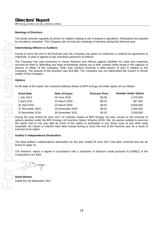# **Meetings of Directors**

The board consults regularly by phone on matters relating to the Company's operations. Resolutions are passed by circulatory resolution. The Company did not hold any meetings of directors during the financial year.

#### **Indemnifying Officers or Auditors**

During or since the end of the financial year the Company has given an indemnity or entered an agreement to indemnify, or paid or agreed to pay insurance premiums as follows:

The Company has paid premiums to insure directors and officers against liabilities for costs and expenses incurred by them in defending any legal proceedings arising out of their conduct while acting in the capacity of director or officer of the Company, other than conduct involving a wilful breach of duty in relation to the Company. The amount of the premium was \$15,995. The Company has not indemnified the current or former auditor of the Company.

#### **Options**

At the date of this report, the unissued ordinary shares of BPH Energy Ltd under option are as follows:

| <b>Grant Date</b> | Date of Expiry   | <b>Exercise Price</b> | <b>Number Under Option</b> |
|-------------------|------------------|-----------------------|----------------------------|
| 1 July 2013       | 30 June 2018     | \$0.08                | 1,075,000                  |
| 2 April 2015      | 31 March 2020    | \$0.02                | 967,500                    |
| 20 April 2015     | 31 March 2020    | \$0.02                | 9,000,000                  |
| 27 November 2015  | 30 November 2020 | \$0.02                | 2,000,000                  |
| 23 November 2016  | 30 November 2021 | \$0.02                | 2,000,000                  |

During the year ended 30 June 2017 no ordinary shares of BPH Energy Ltd were issued on the exercise of options granted under the BPH Energy Ltd Incentive Option Scheme (2016: Nil). No person entitled to exercise the option had or has any right by virtue of the option to participate in any share issue of any other body corporate. No shares or interest have been issued during or since the end of the financial year as a result of exercise of an option.

#### **Auditor's Independence Declaration**

The lead auditor's independence declaration for the year ended 30 June 2017 has been received and can be found on page 15.

The directors' report is signed in accordance with a resolution of directors made pursuant to S298(2) of the Corporations Act 2001.

**David Breeze**  Dated this 29 September 2017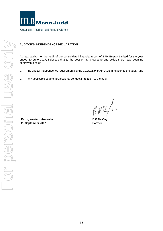

Accountants | Business and Financial Advisers

# **AUDITOR'S INDEPENDENCE DECLARATION**

As lead auditor for the audit of the consolidated financial report of BPH Energy Limited for the year ended 30 June 2017, I declare that to the best of my knowledge and belief, there have been no contraventions of:

- a) the auditor independence requirements of the *Corporations Act 2001* in relation to the audit; and
- b) any applicable code of professional conduct in relation to the audit.

**Perth, Western Australia 29 September 2017**

 $B$ M $V_{\gamma}$ /.

**B G McVeigh Partner**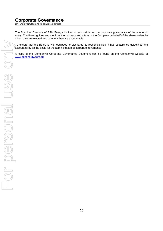The Board of Directors of BPH Energy Limited is responsible for the corporate governance of the economic entity. The Board guides and monitors the business and affairs of the Company on behalf of the shareholders by whom they are elected and to whom they are accountable.

To ensure that the Board is well equipped to discharge its responsibilities, it has established guidelines and accountability as the basis for the administration of corporate governance.

A copy of the Company's Corporate Governance Statement can be found on the Company's website at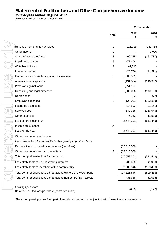# **Statement of Profit or Loss and Other Comprehensive Income**

**for the year ended 30 June 2017**

BPH Energy Limited and its controlled entities

|                                                                                                        |                |                | <b>Consolidated</b> |
|--------------------------------------------------------------------------------------------------------|----------------|----------------|---------------------|
|                                                                                                        | <b>Note</b>    | 2017<br>S      | 2016                |
| Revenue from ordinary activities                                                                       | $\overline{2}$ | 216,925        | 181,758             |
| Other income                                                                                           | 2              |                | 3,000               |
| Share of associates' loss                                                                              | 13             | (90, 355)      | (161, 787)          |
| Impairment charge                                                                                      | 3              | (72, 454)      |                     |
| Write back of loan                                                                                     | 2              | 61,312         |                     |
| Interest expense                                                                                       |                | (28, 726)      | (14, 321)           |
| Fair value loss on reclassification of associate                                                       | 3              | (1,308,563)    |                     |
| Administration expenses                                                                                |                | (191, 584)     | (116, 932)          |
| Provision against loans                                                                                |                | (551, 167)     |                     |
| Consulting and legal expenses                                                                          |                | (285,065)      | (140, 188)          |
| Depreciation                                                                                           | 3              | (22)           | (72)                |
| Employee expenses                                                                                      | 3              | (128, 931)     | (123, 303)          |
| Insurance expenses                                                                                     |                | (18, 593)      | (21, 151)           |
| <b>Service Fees</b>                                                                                    |                | (140, 335)     | (116, 945)          |
| Other expenses                                                                                         |                | (6, 743)       | (1, 505)            |
| Loss before income tax                                                                                 |                | (2,544,301)    | (511, 446)          |
| Income tax expense                                                                                     | 14             |                |                     |
| Loss for the year                                                                                      |                | (2,544,301)    | (511, 446)          |
| Other comprehensive income:                                                                            |                |                |                     |
| Items that will not be reclassified subsequently to profit and loss                                    |                |                |                     |
| Reclassification of revaluation reserve (net of tax)                                                   |                | (15,015,000)   |                     |
| Other comprehensive loss (net of tax)                                                                  | 3              | (15,015,000)   |                     |
| Total comprehensive loss for the period                                                                |                | (17, 559, 301) | (511, 446)          |
| Loss attributable to non-controlling interests                                                         |                | (35, 655)      | (1,988)             |
| Loss attributable to members of the parent entity                                                      |                | (2,508,646)    | (509, 458)          |
| Total comprehensive loss attributable to owners of the Company                                         |                | (17, 523, 646) | (509, 458)          |
| Total comprehensive loss attributable to non-controlling interests                                     |                | (35, 655)      | (1,988)             |
| Earnings per share                                                                                     |                |                |                     |
| Basic and diluted loss per share (cents per share)                                                     | 6              | (0.59)         | (0.22)              |
| The accompanying notes form part of and should be read in conjunction with these financial statements. |                |                |                     |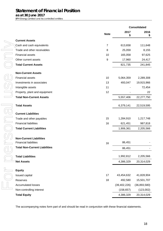# **Statement of Financial Position**

**as at 30 June 2017**

BPH Energy Limited and its controlled entities

|                                      |                | <b>Consolidated</b> |                |
|--------------------------------------|----------------|---------------------|----------------|
|                                      | <b>Note</b>    | 2017<br>S           | 2016<br>\$     |
| <b>Current Assets</b>                |                |                     |                |
| Cash and cash equivalents            | $\overline{7}$ | 613,658             | 111,648        |
| Trade and other receivables          | 8              | 25,059              | 8,155          |
| <b>Financial assets</b>              | 10             | 165,058             | 97,625         |
| Other current assets                 | 9              | 17,960              | 24,417         |
| <b>Total Current Assets</b>          |                | 821,735             | 241,845        |
| <b>Non-Current Assets</b>            |                |                     |                |
| <b>Financial assets</b>              | 10             | 5,064,359           | 2,289,308      |
| Investments in associates            | 13             | 493,047             | 19,915,966     |
| Intangible assets                    | 11             |                     | 72,454         |
| Property, plant and equipment        | 12             |                     | 22             |
| <b>Total Non-Current Assets</b>      |                | 5,557,406           | 22,277,750     |
| <b>Total Assets</b>                  |                | 6,379,141           | 22,519,595     |
| <b>Current Liabilities</b>           |                |                     |                |
| Trade and other payables             | 15             | 1,284,910           | 1,217,748      |
| <b>Financial liabilities</b>         | 16             | 621,451             | 987,818        |
| <b>Total Current Liabilities</b>     |                | 1,906,361           | 2,205,566      |
| <b>Non-Current Liabilities</b>       |                |                     |                |
| <b>Financial liabilities</b>         | 16             | 86,451              |                |
| <b>Total Non-Current Liabilities</b> |                | 86,451              |                |
| <b>Total Liabilities</b>             |                | 1,992,812           | 2,205,566      |
| <b>Net Assets</b>                    |                | 4,386,329           | 20,314,029     |
| <b>Equity</b>                        |                |                     |                |
| Issued capital                       | 17             | 43,454,632          | 41,828,904     |
| Reserves                             | 18             | 492,580             | 15,501,707     |
| <b>Accumulated losses</b>            |                | (39, 402, 226)      | (36, 893, 580) |
| Non-controlling interest             |                | (158, 657)          | (123,002)      |
| <b>Total Equity</b>                  |                | 4,386,329           | 20,314,029     |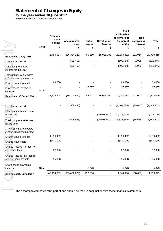# **Statement of Changes in Equity**

**for the year ended 30 June 2017**

BPH Energy Limited and its controlled entities

|                                                                | <b>Note</b> | Ordinary<br>share<br>capital<br>\$ | <b>Accumulated</b><br>losses | Option<br>reserve | <b>Revaluation</b><br>Reserve | <b>Total</b><br>attributable<br>to owners of<br>the parent<br>entity | Non-<br>controlling<br><b>Interest</b> | <b>Total</b>   |
|----------------------------------------------------------------|-------------|------------------------------------|------------------------------|-------------------|-------------------------------|----------------------------------------------------------------------|----------------------------------------|----------------|
|                                                                |             |                                    | \$                           | \$                | \$                            | \$                                                                   | \$                                     | \$             |
| Balance at 1 July 2015                                         |             | 41,759,904                         | (36, 384, 122)               | 469,650           | 15,015,000                    | 20,860,432                                                           | (121, 014)                             | 20,739,418     |
| Loss for the period                                            |             |                                    | (509, 458)                   | $\blacksquare$    | $\overline{\phantom{a}}$      | (509, 458)                                                           | (1,988)                                | (511, 446)     |
| Tetal comprehensive<br>income for the year                     |             |                                    | (509, 458)                   |                   |                               | (509, 458)                                                           | (1,988)                                | (511, 446)     |
| <b>Transactions with owners</b><br>in their capacity as owners |             |                                    |                              |                   |                               |                                                                      |                                        |                |
| Shares issued for cash                                         |             | 69,000                             |                              |                   |                               | 69,000                                                               |                                        | 69,000         |
| Share based payments<br>expense                                | 18(a)       |                                    |                              | 17,057            |                               | 17,057                                                               |                                        | 17,057         |
| Balance at 30 June 2016                                        |             | 41,828,904                         | (36,893,580)                 | 486,707           | 15,015,000                    | 20,437,031                                                           | (123,002)                              | 20,314,029     |
| Loss for the period                                            |             |                                    | (2,508,646)                  |                   |                               | (2,508,646)                                                          | (35,655)                               | (2,544,301)    |
| Other comprehensive loss<br>(net of tax)                       |             |                                    |                              |                   | (15,015,000)                  | (15,015,000)                                                         |                                        | (15,015,000)   |
| Total comprehensive loss<br>for the year                       |             |                                    | (2,508,646)                  |                   | (15,015,000)                  | (17,523,646)                                                         | (35, 655)                              | (17, 559, 301) |
| Transactions with owners<br>in their capacity as owners        |             |                                    |                              |                   |                               |                                                                      |                                        |                |
| Shares issued for cash                                         |             | 1,356,462                          |                              |                   |                               | 1,356,462                                                            |                                        | 1,356,462      |
| Shares issue costs                                             |             | (112, 772)                         |                              |                   |                               | (112, 772)                                                           |                                        | (112, 772)     |
| Shares issued in lieu of<br>consulting fees                    |             | 87,000                             |                              |                   |                               | 87,000                                                               |                                        | 87,000         |
| Shares issued as set-off<br>against loans payable              |             | 295,038                            |                              |                   |                               | 295,038                                                              |                                        | 295,038        |
| Share based payments                                           |             |                                    |                              |                   |                               |                                                                      |                                        |                |
| expense                                                        | 18(a)       |                                    |                              | 5,873             |                               | 5,873                                                                |                                        | 5,873          |
| Balance at 30 June 2017                                        |             | 43,454,632                         | (39, 402, 226)               | 492,580           |                               | 4,544,986                                                            | (158, 657)                             | 4,386,329      |
|                                                                |             |                                    |                              |                   |                               |                                                                      |                                        |                |

The accompanying notes form part of and should be read in conjunction with these financial statements.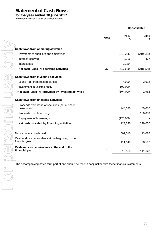**for the year ended 30 June 2017**

BPH Energy Limited and its controlled entities

# **Consolidated**

|                                                                                                        | <b>Note</b>    | 2017       | 2016<br>\$ |
|--------------------------------------------------------------------------------------------------------|----------------|------------|------------|
|                                                                                                        |                |            |            |
| Cash flows from operating activities                                                                   |                |            |            |
| Payments to suppliers and employees                                                                    |                | (519, 206) | (219,083)  |
| Interest received                                                                                      |                | 3,706      | 477        |
| Interest paid                                                                                          |                | (2, 180)   |            |
| Net cash (used in) operating activities                                                                | 20             | (517, 680) | (218, 606) |
| Cash flows from investing activities                                                                   |                |            |            |
| Loans (to) / from related parties                                                                      |                | (4,000)    | 2,692      |
| Investment in unlisted entity                                                                          |                | (100,000)  |            |
| Net cash (used in) / provided by investing activities                                                  |                | (104,000)  | 2,962      |
|                                                                                                        |                |            |            |
| <b>Cash flows from financing activities</b>                                                            |                |            |            |
| Proceeds from issue of securities (net of share<br>issue costs)                                        |                | 1,243,690  | 69,000     |
| Proceeds from borrowings                                                                               |                |            | 160,000    |
| Repayment of borrowings                                                                                |                | (120,000)  |            |
| Net cash provided by financing activities                                                              |                | 1,123,690  | 229,000    |
|                                                                                                        |                |            |            |
| Net increase in cash held                                                                              |                | 502,010    | 13,086     |
| Cash and cash equivalents at the beginning of the<br>financial year                                    |                | 111,648    | 98,562     |
| Cash and cash equivalents at the end of the<br>financial year                                          | $\overline{7}$ | 613,658    | 111,648    |
|                                                                                                        |                |            |            |
| The accompanying notes form part of and should be read in conjunction with these financial statements. |                |            |            |
|                                                                                                        |                |            |            |
|                                                                                                        |                |            |            |
|                                                                                                        |                |            |            |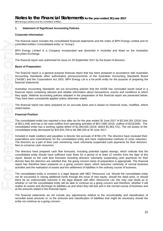# **1. Statement of Significant Accounting Policies**

# **Corporate Information**

The financial report includes the consolidated financial statements and the notes of BPH Energy Limited and its controlled entities ('consolidated entity' or 'Group').

BPH Energy Limited is a Company incorporated and domiciled in Australia and listed on the Australian Securities Exchange.

The financial report was authorised for issue on 29 September 2017 by the board of directors.

# **Basis of Preparation**

The financial report is a general purpose financial report that has been prepared in accordance with Australian Accounting Standards other authoritative pronouncements of the Australian Accounting Standards Board ("AASB") and the *Corporations Act 2001*. BPH Energy Ltd is a for-profit entity for the purpose of preparing the financial statements.

Australian Accounting Standards set out accounting policies that the AASB has concluded would result in a financial report containing relevant and reliable information about transactions, events and conditions to which they apply. Material accounting policies adopted in the preparation of this financial report are presented below. They have been consistently applied unless otherwise stated.

The financial report has been prepared on an accruals basis and is based on historical costs, modified, where stated below.

# **Financial Position**

The consolidated entity has reported a loss after tax for the year ended 30 June 2017 of \$2,544,301 (2016: loss of \$511,446) and has a net cash outflow from operating activities of \$517,680 (2016: outflow of \$218,606). The consolidated entity has a working capital deficit of \$1,084,626 (2016: deficit \$1,963,721). The net assets of the consolidated entity decreased by \$15,924,700 to \$4,386,329 at 30 June 2017.

Included in trade creditors and payables is director fee accruals of \$760,176. The directors have reviewed their expenditure and commitments for the consolidated entity and have implemented methods of costs reduction. The directors as a part of their cash monitoring, have voluntarily suspended cash payments for their directors' fees to conserve cash resources.

The directors have prepared cash flow forecasts, including potential capital raisings, which indicate that the consolidated entity should have sufficient cash flows for a period of at least 12 months from the date of this report. Based on the cash flow forecasts including directors voluntarily suspending cash payments for their director fees the directors are satisfied that, the going concern basis of preparation is appropriate. The financial report has therefore been prepared on a going concern basis, which assumes continuity of normal business activities and the realisation of assets and the settlement of liabilities in the ordinary course of business.

The consolidated entity is involved in a legal dispute with MEC Resources Ltd. Should the consolidated entity not be successful in raising additional funds through the issue of new equity, should the need arise, or should there be an unfavourable outcome in the legal dispute with MEC Resources Ltd, this may cast doubt as to whether or not the consolidated entity will be able to continue as a going concern and therefore, whether it will realise its assets and discharge its liabilities as and when they fall due and in the normal course of business and at the amounts stated in the financial report.

The financial statements do not include any adjustments relative to the recoverability and classification of recorded asset amounts or, to the amounts and classification of liabilities that might be necessary should the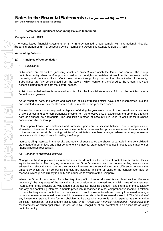#### 1. **Statement of Significant Accounting Policies (continued)**

#### **Compliance with IFRS**

The consolidated financial statements of BPH Energy Limited Group comply with International Financial Reporting Standards (IFRS) as issued by the International Accounting Standards Board (IASB).

#### **Accounting Policies**

#### **(a) Principles of Consolidation**

#### *(i) Subsidiaries*

 Subsidiaries are all entities (including structured entities) over which the Group has control. The Group controls an entity when the Group is exposed to, or has rights to, variable returns from its involvement with the entity and has the ability to affect those returns through its power to direct the activities of the entity. Subsidiaries are fully consolidated from the date on which control is transferred to the Group. They are deconsolidated from the date that control ceases.

 A list of controlled entities is contained in Note 19 to the financial statements. All controlled entities have a June financial year-end.

 As at reporting date, the assets and liabilities of all controlled entities have been incorporated into the consolidated financial statements as well as their results for the year then ended.

The results of subsidiaries acquired or disposed of during the year are included in the consolidated statement of profit or loss and other comprehensive income from the effective date of acquisition and up to the effective date of disposal, as appropriate. The acquisition method of accounting is used to account for business combinations by the Group.

Intercompany transactions, balances and unrealised gains on transactions between Group companies are eliminated. Unrealised losses are also eliminated unless the transaction provides evidence of an impairment of the transferred asset. Accounting policies of subsidiaries have been changed where necessary to ensure consistency with the policies adopted by the Group.

Non-controlling interests in the results and equity of subsidiaries are shown separately in the consolidated statement of profit or loss and other comprehensive income, statement of changes in equity and statement of financial position respectively.

#### *(ii) Changes in ownership interests*

Changes in the Group's interests in subsidiaries that do not result in a loss of control are accounted for as equity transactions. The carrying amounts of the Group's interests and the non-controlling interests are adjusted to reflect the changes in their relative interests in the subsidiaries. Any difference between the amount by which the non-controlling interests are adjusted and the fair value of the consideration paid or received is recognised directly in equity and attributed to owners of the Company.

When the Group loses control of a subsidiary, the profit or loss on disposal is calculated as the difference between (i) the aggregate of the fair value of the consideration received and the fair value of any retained interest and (ii) the previous carrying amount of the assets (including goodwill), and liabilities of the subsidiary and any non-controlling interests. Amounts previously recognised in other comprehensive income in relation to the subsidiary are accounted for (i.e. reclassified to profit or loss or transferred directly to retained earnings) in the same manner as would be required if the relevant assets or liabilities were disposed of. The fair value of any investment retained in the former subsidiary at the date when control is lost is regarded as the fair value on initial recognition for subsequent accounting under AASB 139 *Financial Instruments: Recognition and Measurement* or, when applicable, the cost on initial recognition of an investment in an associate or jointly controlled entity.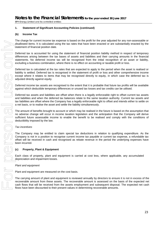# **1. Statement of Significant Accounting Policies (continued)**

# **(b) Income Tax**

The charge for current income tax expense is based on the profit for the year adjusted for any non-assessable or disallowed items. It is calculated using the tax rates that have been enacted or are substantially enacted by the statement of financial position date.

Deferred tax is accounted for using the statement of financial position liability method in respect of temporary differences arising between the tax bases of assets and liabilities and their carrying amounts in the financial statements. No deferred income tax will be recognised from the initial recognition of an asset or liability, excluding a business combination, where there is no effect on accounting or taxable profit or loss.

Deferred tax is calculated at the tax rates that are expected to apply to the period when the asset is realised or liability is settled. Deferred tax is recognised in the statement of profit or loss and other comprehensive income except where it relates to items that may be recognised directly to equity, in which case the deferred tax is adjusted directly against equity.

Deferred income tax assets are recognised to the extent that it is probable that future tax profits will be available against which deductible temporary differences or unused tax losses and tax credits can be utilised.

Deferred tax assets and liabilities are offset when there is a legally enforceable right to offset current tax assets and liabilities and when the deferred tax balances relate to the same taxation authority. Current tax assets and tax liabilities are offset where the Company has a legally enforceable right to offset and intends either to settle on a net basis, or to realise the asset and settle the liability simultaneously.

The amount of benefits brought to account or which may be realised in the future is based on the assumption that no adverse change will occur in income taxation legislation and the anticipation that the Company will derive sufficient future assessable income to enable the benefit to be realised and comply with the conditions of deductibility imposed by the law.

#### *Tax incentives*

The Company may be entitled to claim special tax deductions in relation to qualifying expenditure. As the Company is not in a position to recognise current income tax payable or current tax expense, a refundable tax offset will be received in cash and recognised as rebate revenue in the period the underlying expenses have been incurred.

# **(c) Property, Plant & Equipment**

Each class of property, plant and equipment is carried at cost less, where applicable, any accumulated depreciation and impairment losses.

# *Plant and equipment*

Plant and equipment are measured on the cost basis.

The carrying amount of plant and equipment is reviewed annually by directors to ensure it is not in excess of the recoverable amount from these assets. The recoverable amount is assessed on the basis of the expected net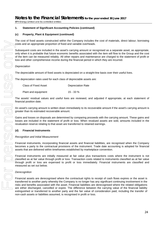# **1. Statement of Significant Accounting Policies (continued)**

# **(c) Property, Plant & Equipment (continued)**

The cost of fixed assets constructed within the Company includes the cost of materials, direct labour, borrowing costs and an appropriate proportion of fixed and variable overheads.

Subsequent costs are included in the asset's carrying amount or recognised as a separate asset, as appropriate, only when it is probable that future economic benefits associated with the item will flow to the Group and the cost of the item can be measured reliably. All other repairs and maintenance are charged to the statement of profit or loss and other comprehensive income during the financial period in which they are incurred.

#### *Depreciation*

The depreciable amount of fixed assets is depreciated on a straight-line basis over their useful lives.

The depreciation rates used for each class of depreciable assets are:

| Class of Fixed Asset | <b>Depreciation Rate</b> |
|----------------------|--------------------------|
| Plant and equipment  | $15 - 33 \%$             |

The assets' residual values and useful lives are reviewed, and adjusted if appropriate, at each statement of financial position date.

An asset's carrying amount is written down immediately to its recoverable amount if the asset's carrying amount is greater than its estimated recoverable amount.

Gains and losses on disposals are determined by comparing proceeds with the carrying amount. These gains and losses are included in the statement of profit or loss. When revalued assets are sold, amounts included in the revaluation reserve relating to that asset are transferred to retained earnings.

# **(d) Financial Instruments**

#### *Recognition and Initial Measurement*

Financial instruments, incorporating financial assets and financial liabilities, are recognised when the Company becomes a party to the contractual provisions of the instrument. Trade date accounting is adopted for financial assets that are delivered within timeframes established by marketplace convention.

Financial instruments are initially measured at fair value plus transactions costs where the instrument is not classified as at fair value through profit or loss. Transaction costs related to instruments classified as at fair value through profit or loss are expensed to profit or loss immediately. Financial instruments are classified and measured as set out below.

#### *Derecognition*

Financial assets are derecognised where the contractual rights to receipt of cash flows expires or the asset is transferred to another party whereby the Company is no longer has any significant continuing involvement in the risks and benefits associated with the asset. Financial liabilities are derecognised where the related obligations are either discharged, cancelled or expire. The difference between the carrying value of the financial liability non-cash assets or liabilities assumed, is recognised in profit or loss.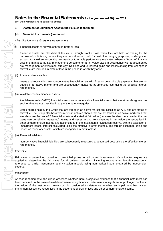# **1. Statement of Significant Accounting Policies (continued)**

# **(d) Financial Instruments (continued)**

*Classification and Subsequent Measurement* 

#### Financial assets at fair value through profit or loss

Financial assets are classified at fair value through profit or loss when they are held for trading for the purpose of profit taking, where they are derivatives not held for cash flow hedging purposes, or designated as such to avoid an accounting mismatch or to enable performance evaluation where a Group of financial assets is managed by key management personnel on a fair value basis in accordance with a documented risk management or investment strategy. Realised and unrealised gains and losses arising from changes in fair value are included in profit or loss in the period in which they arise.

#### (ii) Loans and receivables

Loans and receivables are non-derivative financial assets with fixed or determinable payments that are not quoted in an active market and are subsequently measured at amortised cost using the effective interest rate method.

#### (iii) Available-for-sale financial assets

Available-for-sale ("AFS") financial assets are non-derivative financial assets that are either designated as such or that are not classified in any of the other categories.

Listed shares held by the Group that are traded in an active market are classified as AFS and are stated at fair value. The Group also has investments in unlisted shares that are not traded in an active market but that are also classified as AFS financial assets and stated at fair value (because the directors consider that fair value can be reliably measured). Gains and losses arising from changes in fair value are recognised in other comprehensive income and accumulated in the investments revaluation reserve, with the exception of impairment losses, interest calculated using the effective interest method, and foreign exchange gains and losses on monetary assets, which are recognised in profit or loss. The matrix and soletic statement below cost is considered to the instrument below cost is considered to the instrument below cost is considered to determine an imposed to the instrument for personal use are instrument of t

# (iv) Financial liabilities

Non-derivative financial liabilities are subsequently measured at amortised cost using the effective interest rate method.

#### *Fair value*

Fair value is determined based on current bid prices for all quoted investments. Valuation techniques are applied to determine the fair value for all unlisted securities, including recent arm's length transactions, reference to similar instruments and valuation models using non-market inputs prepared by independent experts.

#### *Impairment*

At each reporting date, the Group assesses whether there is objective evidence that a financial instrument has been impaired. In the case of available-for-sale equity financial instruments, a significant or prolonged decline in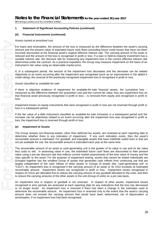# **1. Statement of Significant Accounting Policies (continued)**

# **(d) Financial Instruments (continued)**

#### *Assets carried at amortised cost*

For loans and receivables, the amount of the loss is measured as the difference between the asset's carrying amount and the present value of estimated future cash flows (excluding future credit losses that have not been incurred) discounted at the financial asset's original effective interest rate. The carrying amount of the asset is reduced and the amount of the loss is recognised in profit or loss. If a loan or held-to-maturity investment has a variable interest rate, the discount rate for measuring any impairment loss is the current effective interest rate determined under the contract. As a practical expedient, the Group may measure impairment on the basis of an instrument's fair value using an observable market price.

If, in a subsequent period, the amount of the impairment loss decreases and the decrease can be related objectively to an event occurring after the impairment was recognised (such as an improvement in the debtor's credit rating), the reversal of the previously recognised impairment loss is recognised in profit or loss.

#### *Assets classified as available-for-sale*

If there is objective evidence of impairment for available-for-sale financial assets, the cumulative loss – measured as the difference between the acquisition cost and the current fair value, less any impairment loss on that financial asset previously recognised in profit or loss – is removed from equity and recognised in profit or loss.

Impairment losses on equity instruments that were recognised in profit or loss are not reversed through profit or loss in a subsequent period.

If the fair value of a debt instrument classified as available-for-sale increases in a subsequent period and the increase can be objectively related to an event occurring after the impairment loss was recognised in profit or loss, the impairment loss is reversed through profit or loss.

# **(e) Impairment of Assets**

The Group reviews non-financial assets, other than deferred tax assets, are reviewed at each reporting date to determine whether there is any indication of impairment. If any such indication exists, then the asset's recoverable amount is estimated. For goodwill, and intangible assets that have indefinite useful lives or that are not yet available for use, the recoverable amount is estimated each year at the same time.

The recoverable amount of an asset or cash-generating unit is the greater of its value in use and its fair value less costs to sell. In assessing value in use, the estimated future cash flows are discounted to their present value using a pre-tax discount rate that reflects current market assessments of the time value of money and the risks specific to the asset. For the purpose of impairment testing, assets that cannot be tested individually are Grouped together into the smallest Group of assets that generates cash inflows from continuing use that are largely independent of the cash inflows of other assets or Groups of assets (the "cash-generating unit" or "CGU"). An impairment loss is recognised if the carrying amount of an asset or its CGU exceeds its estimated recoverable amount. Impairment losses are recognised in profit or loss. Impairment losses recognised in respect of CGUs are allocated first to reduce the carrying amount of any goodwill allocated to the units, and then to reduce the carrying amounts of the other assets in the unit (Group of units) on a pro rata basis. Assess carine at an interaction to destinated future cash for incomparison and the personal at the financial assests original effect the metal and the financial assess of iginal effect the metal of the destinated in the de

An impairment loss in respect of goodwill is not reversed. In respect of other assets, impairment losses recognised in prior periods are assessed at each reporting date for any indications that the loss has decreased or no longer exists. An impairment loss is reversed if there has been a change in the estimates used to determine the recoverable amount. An impairment loss is reversed only to the extent that the asset's carrying amount does not exceed the carrying amount that would have been determined, net of depreciation or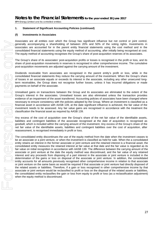#### **1. Statement of Significant Accounting Policies (continued)**

#### **(f) Investments in Associates**

Associates are all entities over which the Group has significant influence but not control or joint control, generally accompanying a shareholding of between 20% and 50% of the voting rights. Investments in  $\frac{1}{4}$  associates are accounted for in the parent entity financial statements using the cost method and in the consolidated financial statements using the equity method of accounting, after initially being recognised at cost. The equity method of accounting recognises the Group's share of post-acquisition reserves of its associates.

The Group's share of its associates' post-acquisition profits or losses is recognised in the profit or loss, and its share of post-acquisition movements in reserves is recognised in other comprehensive income. The cumulative post-acquisition movements are adjusted against the carrying amount of the investment.

Dividends receivable from associates are recognised in the parent entity's profit or loss, while in the consolidated financial statements they reduce the carrying amount of the investment. When the Group's share of losses in an associate equals or exceeds its interest in the associate, including any other unsecured longterm receivables, the Group does not recognise further losses, unless it has incurred obligations or made payments on behalf of the associate.

Unrealised gains on transactions between the Group and its associates are eliminated to the extent of the Group's interest in the associates. Unrealised losses are also eliminated unless the transaction provides evidence of an impairment of the asset transferred. Accounting policies of associates have been changed where necessary to ensure consistency with the policies adopted by the Group. Where an investment is classified as a financial asset in accordance with AASB 139, at the date significant influence is achieved, the fair value of the investment needs to be assessed. Any fair value gains are recognised in accordance with the treatment the classification the financial asset as required by AASB 139.

Any excess of the cost of acquisition over the Group's share of the net fair value of the identifiable assets, liabilities and contingent liabilities of the associate recognised at the date of acquisition is recognised as goodwill, which is included within the carrying amount of the investment. Any excess of the Group's share of the net fair value of the identifiable assets, liabilities and contingent liabilities over the cost of acquisition, after reassessment, is recognised immediately in profit or loss.

The consolidated entity discontinues the use of the equity method from the date when the investment ceases to be an associate or a joint venture, or when the investment is classified as held for sale. When the a consolidated entity retains an interest in the former associate or joint venture and the retained interest is a financial asset, the consolidated entity measures the retained interest at fair value at that date and the fair value is regarded as its fair value on initial recognition in accordance with AASB 139. The difference between the carrying amount of the associate or joint venture at the date the equity method was discontinued, and the fair value of any retained interest and any proceeds from disposing of a part interest in the associate or joint venture is included in the determination of the gains or loss on disposal of the associate or joint venture. In addition, the consolidated entity accounts for all amounts previously recognised other comprehensive income in relation to that associate or joint venture on the same basis as would be required if that associate or joint venture had directly disposed of the related assets or liabilities. Therefore, if a gain or loss recognised in other comprehensive income by that associate or joint venture would be reclassified to profit or loss on the disposal of the related assets or liabilities, the consolidated entity reclassifies the gain or loss from equity to profit or loss (as a reclassification adjustment) Associates are all entities over winch<br>sociates are accounted for in the pronentally accompanying a sharehold<br>in associates are accounted for in the promovideated financial statements using<br>the Group's share of this associ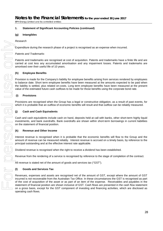# **1. Statement of Significant Accounting Policies (continued)**

# **(g) Intangibles**

# *Research*

Expenditure during the research phase of a project is recognised as an expense when incurred.

# *Patents and Trademarks*

Patents and trademarks are recognised at cost of acquisition. Patents and trademarks have a finite life and are carried at cost less any accumulated amortisation and any impairment losses. Patents and trademarks are amortised over their useful life of 10 years.

# **(h) Employee Benefits**

Provision is made for the Company's liability for employee benefits arising from services rendered by employees to balance date. Short term employee benefits have been measured at the amounts expected to be paid when the liability is settled, plus related on-costs. Long term employee benefits have been measured at the present value of the estimated future cash outflows to be made for those benefits using the corporate bond rate.

# **(i) Provisions**

Provisions are recognised when the Group has a legal or constructive obligation, as a result of past events, for which it is probable that an outflow of economic benefits will result and that outflow can be reliably measured.

# **(j) Cash and Cash Equivalents**

Cash and cash equivalents include cash on hand, deposits held at call with banks, other short-term highly liquid investments, and bank overdrafts. Bank overdrafts are shown within short-term borrowings in current liabilities on the statement of financial position.

# **(k) Revenue and Other Income**

Interest revenue is recognised when it is probable that the economic benefits will flow to the Group and the amount of revenue can be measured reliably. Interest revenue is accrued on a timely basis, by reference to the principal outstanding and at the effective interest rate applicable.

Dividend revenue is recognised when the right to receive a dividend has been established.

Revenue from the rendering of a service is recognised by reference to the stage of completion of the contract.

All revenue is stated net of the amount of goods and services tax ("GST").

# **(l) Goods and Services Tax**

Revenues, expenses and assets are recognised net of the amount of GST, except where the amount of GST incurred is not recoverable from the Australian Tax Office. In these circumstances the GST is recognised as part of the cost of acquisition of the asset or as part of an item of the expense. Receivables and payables in the statement of financial position are shown inclusive of GST. Cash flows are presented in the cash flow statement on a gross basis of the GST component of the GST component of the GST component of the GST component of the GST component of the GST component of the GST component of the GST component of the GST component of the GST compo operating cash flows.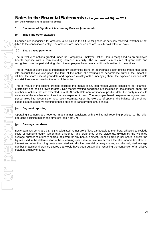# **1. Statement of Significant Accounting Policies (continued)**

# **(m) Trade and other payables**

Liabilities are recognised for amounts to be paid in the future for goods or services received, whether or not billed to the consolidated entity. The amounts are unsecured and are usually paid within 45 days.

# **(n) Share based payments**

The fair value of options granted under the Company's Employee Option Plan is recognised as an employee benefit expense with a corresponding increase in equity. The fair value is measured at grant date and recognized over the period during which the employees become unconditionally entitled to the options.

The fair value at grant date is independently determined using an appropriate option pricing model that takes into account the exercise price, the term of the option, the vesting and performance criteria, the impact of dilution, the share price at grant date and expected volatility of the underlying share, the expected dividend yield and risk free interest rate for the term of the option.

The fair value of the options granted excludes the impact of any non-market vesting conditions (for example, profitability and sales growth targets). Non-market vesting conditions are included in assumptions about the number of options that are expected to vest. At each statement of financial position date, the entity revises its estimate of the number of options that are expected to vest. The employee benefit expense recognised each period takes into account the most recent estimate. Upon the exercise of options, the balance of the sharebased payments reserve relating to those options is transferred to share capital.

# **(o) Segment reporting**

Operating segments are reported in a manner consistent with the internal reporting provided to the chief operating decision maker, the directors (see Note 27).

# **(p) Earnings per share**

Basic earnings per share ("EPS") is calculated as net profit / loss attributable to members, adjusted to exclude costs of servicing equity (other than dividends) and preference share dividends, divided by the weighted average number of ordinary shares, adjusted for any bonus element. Diluted earnings per share adjusts the figures used in the determination of basic earnings per share to take into account the after income tax effect of interest and other financing costs associated with dilutive potential ordinary shares, and the weighted average number of additional ordinary shares that would have been outstanding assuming the conversion of all dilutive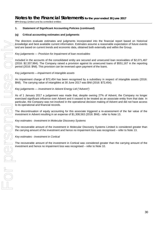# **1. Statement of Significant Accounting Policies (continued)**

# **(q) Critical accounting estimates and judgments**

The directors evaluate estimates and judgments incorporated into the financial report based on historical knowledge and best available current information. Estimates assume a reasonable expectation of future events  $\frac{1}{2}$ and are based on current trends and economic data, obtained both externally and within the Group.

# *Key judgements — Provision for Impairment of loan receivables*

Included in the accounts of the consolidated entity are secured and unsecured loan receivables of \$2,071,467 (2016: \$2,337,984). The Company raised a provision against its unsecured loans of \$551,167 in the reporting period (2016: \$Nil). This provision can be reversed upon payment of the loans.

# *Key judgements —Impairment of intangible assets*

An impairment charge of \$72,454 has been recognised by a subsidiary in respect of intangible assets (2016: \$Nil). The carrying value of intangibles at 30 June 2017 was \$Nil (2016: \$72,454).

# *Key judgements — Investment in Advent Energy Ltd ("Advent")*

As of 1 January 2017 a judgement was made that, despite owning 27% of Advent, the Company no longer exercised significant influence over Advent and it ceased to be treated as an associate entity from that date. In particular, the Company was not involved in the operational decision making of Advent and did not have access to its operational and financial records.

The discontinuation of equity accounting for this associate triggered a re-assessment of the fair value of the investment in Advent resulting in an expense of \$1,308,563 (2016: \$Nil).- refer to Note 13.

# *Key estimates - Investment in Molecular Discovery Systems*

The recoverable amount of the investment in Molecular Discovery Systems Limited is considered greater than the carrying amount of the investment and hence no impairment loss was recognised – refer to Note 13.

# *Key estimates - Investment in Cortical*

The recoverable amount of the investment in Cortical was considered greater than the carrying amount of the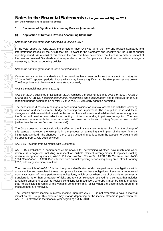# **1. Statement of Significant Accounting Policies (continued)**

# **(r) Application of New and Revised Accounting Standards**

#### *Standards and Interpretations applicable to 30 June 2017*

In the year ended 30 June 2017, the Directors have reviewed all of the new and revised Standards and Interpretations issued by the AASB that are relevant to the Company and effective for the current annual reporting period. As a result of this review, the Directors have determined that there is no material impact of the new and revised Standards and Interpretations on the Company and, therefore, no material change is necessary to Group accounting policies.

#### *Standards and Interpretations in issue not yet adopted*

Certain new accounting standards and interpretations have been publishes that are not mandatory for 30 June 2017 reporting periods. Those which may have a significant to the Group are set out below. The Group does not plan to adopt these standards early.

AASB 9 Financial Instruments (2014)

AASB 9 (2014), published in December 2014, replaces the existing guidance AASB 9 (2009), AASB 9 (2010) and AASB 139 *Financial Instruments: Recognition and Measurement* and is effective for annual reporting periods beginning on or after 1 January 2018, with early adoption permitted.

The new standard results in changes to accounting policies for financial assets and liabilities covering classification and measurement, hedge accounting and impairment. The Group has assessed these changes and determined that based on the current financial assets and liabilities held at reporting date, the Group will need to reconsider its accounting policies surrounding impairment recognition. The new impairment requirements for financial assets are based on a forward looking 'expected loss model' (rather than the current 'incurred loss model').

The Group does not expect a significant effect on the financial statements resulting from the change of this standard however the Group is in the process of evaluating the impact of the new financial instrument standard. The changes in the Group's accounting policies from the adoption of AASB 9 will be applied from 1 July 2018 onwards.

# AASB 15 Revenue from Contracts with Customers

AASB 15 establishes a comprehensive framework for determining whether, how much and when revenue is recognised, including in respect of multiple element arrangements. It replaces existing revenue recognition guidance, AASB 111 *Construction Contracts,* AASB 118 *Revenue* and AASB 1004 *Contributions.* AASB 15 is effective from annual reporting periods beginning on or after 1 January 2018, with early adoption permitted.

The core principle of AASB 15 is that it requires identification of discrete performance obligations within a transaction and associated transaction price allocation to these obligations. Revenue is recognised upon satisfaction of these performance obligations, which occur when control of goods or services is transferred, rather than on transfer of risks and rewards. Revenue received for a contract that includes a variable amount is subject to revised conditions for recognition, whereby it must be highly probable that no significant reversal of the variable component may occur when the uncertainties around its measurement are removed.

The Group's current income is interest income, therefore AASB 15 is not expected to have a material impact on the Group. This however may change depending on the income streams in place when the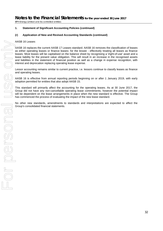# **1. Statement of Significant Accounting Policies (continued)**

# **(r) Application of New and Revised Accounting Standards (continued)**

#### AASB 16 Leases

AASB 16 replaces the current AASB 17 Leases standard. AASB 16 removes the classification of leases as either operating leases or finance leases- for the lessee - effectively treating all leases as finance leases. Most leases will be capitalised on the balance sheet by recognising a Vight-of-use' asset and a lease liability for the present value obligation. This will result in an increase in the recognised assets and liabilities in the statement of financial position as well as a change in expense recognition, with interest and deprecation replacing operating lease expense.

Lessor accounting remains similar to current practice, i.e. lessors continue to classify leases as finance and operating leases.

AASB 16 is effective from annual reporting periods beginning on or after 1 January 2019, with early adoption permitted for entities that also adopt AASB 15.

This standard will primarily affect the accounting for the operating leases. As at 30 June 2017, the Group did not have any non-cancellable operating lease commitments, however the potential impact will be dependent on the lease arrangements in place when the new standard is effective. The Group has commenced the process of evaluating the impact of the new lease standard.

No other new standards, amendments to standards and interpretations are expected to affect the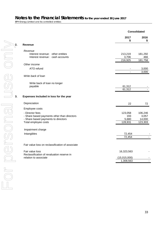# **Notes to the Financial Statements for the year ended 30 June 2017**

BPH Energy Limited and its controlled entities

|    |                                                  |              | <b>Consolidated</b> |
|----|--------------------------------------------------|--------------|---------------------|
|    |                                                  | 2017<br>\$   | 2016<br>\$          |
| 2. | <b>Revenue</b>                                   |              |                     |
|    | Revenue                                          |              |                     |
|    | Interest revenue: other entities                 | 213,219      | 181,292             |
|    | Interest revenue : cash accounts                 | 3,706        | 466                 |
|    |                                                  | 216,925      | 181,758             |
|    | Other income                                     |              |                     |
|    | ATO refund                                       |              | 3,000               |
|    |                                                  | $\mathbf{r}$ | 3,000               |
|    | Write back of loan                               |              |                     |
|    | Write back of loan no longer                     |              |                     |
|    | payable                                          | 61,312       |                     |
|    |                                                  | 61,312       |                     |
| 3. | Expenses Included in loss for the year           |              |                     |
|    | Depreciation                                     | 22           | 72                  |
|    | Employee costs                                   |              |                     |
|    | - Director fees                                  | 123,058      | 106,246             |
|    | - Share based payments other than directors      | 193          | 3,057               |
|    | - Share based payments to directors              | 5,680        | 14,000              |
|    | Total employee costs                             | 128,931      | 123,303             |
|    | Impairment charge                                |              |                     |
|    | Intangibles                                      | 72,454       |                     |
|    |                                                  | 72,454       |                     |
|    |                                                  |              |                     |
|    | Fair value loss on reclassification of associate |              |                     |
|    | Fair value loss                                  | 16,323,563   |                     |
|    | Reclassification of revaluation reserve in       |              |                     |
|    | relation to associate                            | (15,015,000) |                     |
|    |                                                  | 1,308,563    |                     |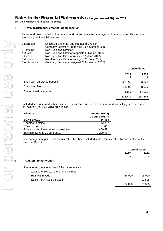#### **4. Key Management Personnel Compensation**

Names and positions held of economic and parent entity key management personnel in office at any time during the financial year are:

| D L Breeze -     | <b>Executive Chairman and Managing Director</b> |
|------------------|-------------------------------------------------|
|                  | Company Secretary (appointed 23 November 2016)  |
| $T$ Fontaine $-$ | Non Executive Director                          |
| A Huston -       | Non Executive Director (appointed 26 June 2017) |
| $G$ Gilbert $-$  | Non Executive Director (resigned 1 June 2017)   |
| $B$ Whan $-$     | Non-Executive Director (resigned 26 June 2017)  |
| D Ambrosini -    | Company Secretary (resigned 23 November 2016)   |

|                              |           | <b>Consolidated</b> |  |
|------------------------------|-----------|---------------------|--|
|                              | 2017<br>S | 2016<br>S           |  |
| Short term employee benefits | 123,052   | 106,246             |  |
| Consulting fee               | 98,000    | 98,000              |  |
| Share based payments         | 5,680     | 14,000              |  |
|                              | 226,732   | 218,246             |  |

Included in trade and other payables is current and former director and consulting fee accruals of \$1,220,767 (30 June 2016: \$1,151,613).

| <b>Director</b>                        | <b>Amount owing</b><br>30 June 2017 \$ |
|----------------------------------------|----------------------------------------|
| David Breeze                           | 716,558                                |
| <b>Thomas Fontaine</b>                 | 43,207                                 |
| <b>Tony Huston</b>                     | 411                                    |
| Directors who have previously resigned | 460.591                                |
| Balance owing at 30 June 2017          | 1,220,767                              |

Key management personnel remuneration has been included in the Remuneration Report section of the Directors Report.

|    |                                                       |                | <b>Consolidated</b> |
|----|-------------------------------------------------------|----------------|---------------------|
|    |                                                       | 2017<br>\$     | 2016<br>\$          |
| 5. | <b>Auditors' remuneration</b>                         |                |                     |
|    | Remuneration of the auditor of the parent entity for: |                |                     |
|    | - auditing or reviewing the financial report          |                |                     |
|    | <b>HLB Mann Judd</b>                                  | 24,000         | 16,000              |
|    | Nexia Perth Audit Services                            | $\blacksquare$ | 10,525              |
|    |                                                       | 24,000         | 26,525              |
|    |                                                       |                |                     |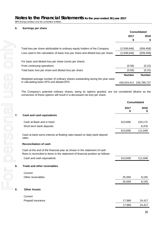# **Notes to the Financial Statements for the year ended 30 June 2017**

BPH Energy Limited and its controlled entities

# **6. Earnings per share**

|                                                                                                                         |               | <b>Consolidated</b> |
|-------------------------------------------------------------------------------------------------------------------------|---------------|---------------------|
|                                                                                                                         | 2017          | 2016                |
|                                                                                                                         | \$            | \$                  |
| Total loss per share attributable to ordinary equity holders of the Company                                             | (2,508,646)   | (509, 458)          |
| Loss used in the calculation of basic loss per share and diluted loss per share                                         | (2,508,646)   | (509,458)           |
| For basic and diluted loss per share (cents per share)                                                                  |               |                     |
| From continuing operations                                                                                              | (0.59)        | (0.22)              |
| Total basic loss per share and diluted loss per share                                                                   | (0.59)        | (0.22)              |
|                                                                                                                         | <b>Number</b> | <b>Number</b>       |
| Weighted average number of ordinary shares outstanding during the year used<br>in calculating basic EPS and diluted EPS | 426,024,411   | 235,766,727         |

 The Company's potential ordinary shares, being its options granted, are not considered dilutive as the conversion of these options will result in a decreased net loss per share.

|    |                                                                                                                                                            | <b>Consolidated</b> |            |
|----|------------------------------------------------------------------------------------------------------------------------------------------------------------|---------------------|------------|
|    |                                                                                                                                                            | 2017<br>\$          | 2016<br>\$ |
| 7. | <b>Cash and cash equivalents</b>                                                                                                                           |                     |            |
|    | Cash at Bank and in hand                                                                                                                                   | 613,658             | 103,172    |
|    | Short-term bank deposits                                                                                                                                   |                     | 8,476      |
|    |                                                                                                                                                            | 613,658             | 111,648    |
|    | Cash at bank earns interest at floating rates based on daily bank deposit<br>rates.                                                                        |                     |            |
|    | <b>Reconciliation of cash</b>                                                                                                                              |                     |            |
|    | Cash at the end of the financial year as shown in the statement of cash<br>flows is reconciled to items in the statement of financial position as follows: |                     |            |
| J  | Cash and cash equivalents                                                                                                                                  | 613,658             | 111,648    |
| 8. | <b>Trade and other receivables</b>                                                                                                                         |                     |            |
|    | Current                                                                                                                                                    |                     |            |
|    | Other receivables                                                                                                                                          | 25,059              | 8,155      |
|    |                                                                                                                                                            | 25,059              | 8,155      |
| 9. | <b>Other Assets</b>                                                                                                                                        |                     |            |
|    | Current                                                                                                                                                    |                     |            |
|    | Prepaid insurance                                                                                                                                          | 17,960              | 24,417     |
|    |                                                                                                                                                            | 17,960              | 24,417     |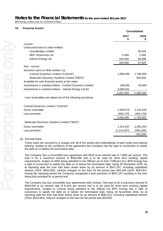# **Notes to the Financial Statements for the year ended 30 June 2017**

BPH Energy Limited and its controlled entities

#### **10. Financial Assets**

|                                                              | <b>Consolidated</b> |            |
|--------------------------------------------------------------|---------------------|------------|
|                                                              | 2017<br>S           | 2016<br>\$ |
| Current                                                      |                     |            |
| Unsecured loans to other entities:                           |                     |            |
| <b>Grandbridge Limited</b>                                   |                     | 55,645     |
| <b>MEC Resources Ltd</b>                                     | 2,494               | 2,494      |
| <b>Advent Energy Ltd</b>                                     | 162,564             | 39,486     |
|                                                              | 165,058             | 97,625     |
| Non - current                                                |                     |            |
| Secured Loans to other entities: (a)                         |                     |            |
| Cortical Dynamics Limited ("Cortical")                       | 1,906,409           | 1,738,359  |
| Molecular Discovery Systems Limited ("MDS")                  |                     | 502,000    |
| Available for sale financial assets at fair value:           |                     |            |
| Investments in unlisted entities - Cortical Dynamics Limited | 148,949             | 48,949     |
| Investments in unlisted entities - Advent Energy Ltd (b)     | 3,009,001           |            |
|                                                              | 5,064,359           | 2,289,308  |
| Loan receivables are stated net of the following provisions: |                     |            |
| Cortical Dynamics Limited ("Cortical")                       |                     |            |
| Gross receivable                                             | 2,400,579           | 2,232,529  |
| Less provision                                               | (494.170)           | (494.170)  |
|                                                              | 1,906,409           | 1,738,359  |
| Molecular Discovery Systems Limited ("MDS")                  |                     |            |
| Gross receivable                                             | 1,141.637           | ,1,092,200 |
| Less provision                                               | (1, 141, 637)       | (590, 200) |
|                                                              |                     | 502,000    |

#### (a) Secured loans

These loans are secured by a charge over all of the assets and undertakings of each entity and interest bearing. Subject to the conditions of the agreement the Company has the right to conversion to satisfy the debt on or before the termination date.

The Company has a convertible loan agreement with MDS at an interest rate of 7.69% per annum. The loan is for a maximum amount of \$500,000 and is to be used for short term working capital requirements. Subject to MDS being admitted to the Official List of ASX ("Official List"), BPH Energy has a right of conversion to satisfy the debt on or before the termination date, being 26 November 2018. As at reporting date the loan had been drawn down by an amount of \$547,167, including capitalised interest (2016: \$502,000). Interest charged on the loan for the period was \$45,166 (2016: \$28,341). During the reporting period the Company recognised a loan provision of \$551,167 resulting in the loan being fully provided for at period end.

The Company has two convertible loan agreements with Cortical. One loan is for a maximum amount of \$500,000 at an interest rate of 8.16% per annum and is to be used for short term working capital requirements. Subject to Cortical being admitted to the Official List BPH Energy has a right of conversion to satisfy the debt on or before the termination date, being 19 November 2018. As at reporting date the loan had been drawn down by an amount of \$584,411, including capitalised interest (2016: \$533,561). Interest charged on the loan for the period was \$50,850.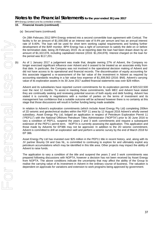# **10. Financial Assets (continued)**

# (a) Secured loans (continued)

On 28th February 2012 BPH Energy entered into a second convertible loan agreement with Cortical. The facility is for an amount of \$1,000,000 at an interest rate of 9.4% per annum and has an annual interest rate of 9.40%. The loan will be used for short term working capital requirements and funding further development of the BAR monitor. BPH Energy has a right of conversion to satisfy the debt on or before the termination date, being 28 February 2019. As at reporting date the loan had been drawn down by an amount of \$1,322,078, including capitalised interest (2016: \$1,204,878). Interest charged on the loan for the period was \$117,201.

longer exercised significant influence over Advent and it ceased to be treated as an associate entity from that date. In particular, the Company was not involved in the operational decision making of Advent and did not have access to its operational and financial records. The discontinuation of equity accounting for this associate triggered a re-assessment of the fair value of the investment in Advent as required by accounting standards resulting in a fair value loss expense of \$1,308,563 (2016: \$Nil). Advent's carrying value of its exploration assets in its 30 June 2017 audited financial statements was over \$28 million.

Advent and its subsidiaries have reported current commitments for its exploration permits of \$20,522,500 over the next 12 months. To assist in meeting these commitments, both MEC and Advent have stated they are continually seeking and reviewing potential sources of both equity and debt funding. Advent has stated it is currently in negotiations with a number of parties on the terms of investment and its management has confidence that a suitable outcome will be achieved however there is no certainty at this stage that those discussions will result in further funding being made available.

(b) As of 1 January 2017 a (b) As of 1 January 2017 a judgement was made that company no trainly the ode or to be<br>the termination data, being 28 February 2019. As at a report of company on the state, the despite of Company In relation to Advent's exploration commitments (which include Asset Energy Pty Ltd) completing 200km of 2D seismic and geotechnical studies within the PEP 11 area by 12 August 2016 Advent's wholly owned subsidiary, Asset Energy Pty Ltd, lodged an application in respect of Petroleum Exploration Permit 11 ("PEP11") with the National Offshore Petroleum Titles Administrator ("NOPTA") prior to 30 June 2016 to vary a condition of PEP11, suspend the years 2 and 3 work commitments and request a subsequent extension of the PEP11 permit term. NOPTA is currently assessing the application. This application and those made by Advents for EP386 may not be approved. In addition to the 2D seismic commitment, Advent is committed to drill an exploration well and perform a seismic survey by the end of March 2018 for EP 386.

Asset Energy Pty Ltd has invested over \$25 million in the PEP11 title in recent history, and, along with its JV partner Bounty Oil and Gas NL, is committed to continuing to explore for and ultimately exploit any petroleum accumulations which may be identified in this title area. Other projects may impact the ability of Advent to raise funds.

The application to vary a condition of the title and suspend the years 2 and 3 work commitments was prepared following discussions with NOPTA, however a decision has not been received by Asset Energy from NOPTA. The above conditions indicate the uncertainty that may affect the ability of the Group to realise the carrying value of its investment in Advent in the ordinary course of business. The valuation is dependent on approvals for variations and extension to work programs being approved by government.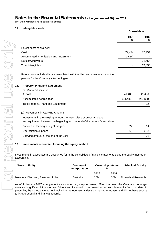# **Notes to the Financial Statements for the year ended 30 June 2017**

BPH Energy Limited and its controlled entities

#### **11. Intangible assets**

|     |                                                                                                                                                       |                                    |      |                                |                            | <b>Consolidated</b> |
|-----|-------------------------------------------------------------------------------------------------------------------------------------------------------|------------------------------------|------|--------------------------------|----------------------------|---------------------|
|     |                                                                                                                                                       |                                    |      |                                | 2017<br>\$                 | 2016<br>\$          |
|     | Patent costs capitalised:                                                                                                                             |                                    |      |                                |                            |                     |
|     | Cost                                                                                                                                                  |                                    |      |                                | 72,454                     | 72,454              |
|     | Accumulated amortisation and impairment                                                                                                               |                                    |      |                                | (72, 454)                  |                     |
|     | Net carrying value                                                                                                                                    |                                    |      |                                |                            | 72,454              |
|     | Total intangibles                                                                                                                                     |                                    |      |                                |                            | 72,454              |
|     | Patent costs include all costs associated with the filing and maintenance of the<br>patents for the Company's technologies.                           |                                    |      |                                |                            |                     |
| 12. | <b>Property, Plant and Equipment</b>                                                                                                                  |                                    |      |                                |                            |                     |
|     | Plant and equipment.                                                                                                                                  |                                    |      |                                |                            |                     |
|     | At cost                                                                                                                                               |                                    |      |                                | 41,486                     | 41,486              |
|     | Accumulated depreciation                                                                                                                              |                                    |      |                                | (41, 486)                  | (41, 464)           |
|     | <b>Total Property, Plant and Equipment</b>                                                                                                            |                                    |      |                                |                            | 22                  |
|     | (a) Movements in Carrying Amounts                                                                                                                     |                                    |      |                                |                            |                     |
|     | Movements in the carrying amounts for each class of property, plant<br>and equipment between the beginning and the end of the current financial year: |                                    |      |                                |                            |                     |
|     | Balance at the beginning of the year                                                                                                                  |                                    |      |                                | 22                         | 94                  |
|     | Depreciation expense                                                                                                                                  |                                    |      |                                | (22)                       | (72)                |
|     | Carrying amount at the end of the year                                                                                                                |                                    |      |                                |                            | 22                  |
| 13. | Investments accounted for using the equity method                                                                                                     |                                    |      |                                |                            |                     |
|     | Investments in associates are accounted for in the consolidated financial statements using the equity method of<br>accounting.                        |                                    |      |                                |                            |                     |
|     | <b>Name of Entity</b>                                                                                                                                 | <b>Country of</b><br>Incorporation |      | <b>Ownership Interest</b><br>% | <b>Principal Activity</b>  |                     |
|     |                                                                                                                                                       |                                    | 2017 | 2016                           |                            |                     |
|     | Molecular Discovery Systems Limited                                                                                                                   | Australia                          | 20%  | 20%                            | <b>Biomedical Research</b> |                     |

# **13. Investments accounted for using the equity method**

| <b>Name of Entity</b>                      | <b>Country of</b><br>Incorporation | <b>Ownership Interest</b><br>% |      | <b>Principal Activity</b>  |
|--------------------------------------------|------------------------------------|--------------------------------|------|----------------------------|
|                                            |                                    | 2017                           | 2016 |                            |
| <b>Molecular Discovery Systems Limited</b> | Australia                          | <b>20%</b>                     | 20%  | <b>Biomedical Research</b> |

As of 1 January 2017 a judgement was made that, despite owning 27% of Advent, the Company no longer exercised significant influence over Advent and it ceased to be treated as an associate entity from that date. In to its operational and financial records.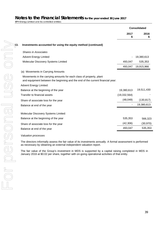# **Notes to the Financial Statements for the year ended 30 June 2017**

BPH Energy Limited and its controlled entities

|     |                                                                                                                                                       | <b>Consolidated</b> |            |
|-----|-------------------------------------------------------------------------------------------------------------------------------------------------------|---------------------|------------|
|     |                                                                                                                                                       | 2017<br>\$          | 2016<br>\$ |
| 13. | Investments accounted for using the equity method (continued)                                                                                         |                     |            |
|     | <b>Shares in Associates</b>                                                                                                                           |                     |            |
|     | <b>Advent Energy Limited</b>                                                                                                                          |                     | 19,380,613 |
|     | Molecular Discovery Systems Limited                                                                                                                   | 493,047             | 535,353    |
|     |                                                                                                                                                       | 493,047             | 19,915,966 |
|     | (a) Movements in Carrying Amounts                                                                                                                     |                     |            |
|     | Movements in the carrying amounts for each class of property, plant<br>and equipment between the beginning and the end of the current financial year: |                     |            |
|     | <b>Advent Energy Limited:</b>                                                                                                                         |                     |            |
|     | Balance at the beginning of the year                                                                                                                  | 19,380,613          | 19,511,430 |
|     | Transfer to financial assets                                                                                                                          | (19, 332, 564)      |            |
|     | Share of associate loss for the year                                                                                                                  | (48, 049)           | (130, 817) |
|     | Balance at end of the year                                                                                                                            |                     | 19,380,613 |
|     | Molecular Discovery Systems Limited:                                                                                                                  |                     |            |
|     | Balance at the beginning of the year                                                                                                                  | 535,353             | 566,323    |
|     | Share of associate loss for the year                                                                                                                  | (42, 306)           | (30, 970)  |
|     | Balance at end of the year                                                                                                                            | 493,047             | 535,353    |

#### *Valuation processes*

The directors informally assess the fair value of its investments annually. A formal assessment is performed as necessary by obtaining an external independent valuation report.

The fair value of the Group's investment in MDS is supported by a capital raising completed in MDS in January 2016 at \$0.02 per share, together with on-going operational activities of that entity.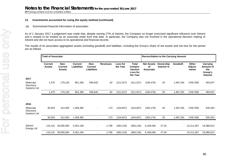#### **13. Investments accounted for using the equity method (continued)**

#### (a) Summarised financial information of associates

As of 1 January 2017 a judgement was made that, despite owning 27% of Advent, the Company no longer exercised significant influence over Advent and it ceased to be treated as an associate entity from that date. In particular, the Company was not involved in the operational decision making of Advent and did not have access to its operational and financial records.

The results of its associates aggregated assets (including goodwill) and liabilities, including the Group's share of net assets and net loss for the period are as follows.

|                                       | <b>Total of Associate</b>       |                                         |                                      |                                              |                 | <b>Reconciliation to the Carrying Amount</b> |                                                            |                                                    |                         |                 |                                  |                                                                   |
|---------------------------------------|---------------------------------|-----------------------------------------|--------------------------------------|----------------------------------------------|-----------------|----------------------------------------------|------------------------------------------------------------|----------------------------------------------------|-------------------------|-----------------|----------------------------------|-------------------------------------------------------------------|
|                                       | <b>Current</b><br><b>Assets</b> | Non-<br><b>Current</b><br><b>Assets</b> | <b>Current</b><br><b>Liabilities</b> | Non-<br><b>Current</b><br><b>Liabilities</b> | <b>Revenues</b> | Loss for<br>the Year                         | <b>Total</b><br>Compre-<br>hensive<br>Loss for<br>the Year | <b>Net Assets</b><br><b>of</b><br><b>Associate</b> | Ownership<br>Interest % | <b>Goodwill</b> | <b>Other</b><br>Adjust-<br>ments | Carrying<br><b>Amount of</b><br>the<br>Group's<br><b>Interest</b> |
| 2017                                  |                                 |                                         |                                      |                                              |                 |                                              |                                                            |                                                    |                         |                 |                                  |                                                                   |
| Molecular<br>Discovery<br>Systems Ltd | 1,475                           | 179,129                                 | 851,356                              | 556,632                                      | 62              | (211, 527)                                   | (211, 527)                                                 | (245, 476)                                         | 20                      | 1,487,291       | (748, 768)                       | 493,047                                                           |
|                                       | 1,475                           | 179,129                                 | 851,356                              | 556,632                                      | 62              | (211, 527)                                   | (211, 527)                                                 | (245, 476)                                         | 20                      | 1,487,291       | (748, 768)                       | 493,047                                                           |
| 2016                                  |                                 |                                         |                                      |                                              |                 |                                              |                                                            |                                                    |                         |                 |                                  |                                                                   |
| Molecular<br>Discovery<br>Systems Ltd | 30,525                          | 312,003                                 | 1,358,382                            | $\overline{\phantom{a}}$                     | 173             | (154, 837)                                   | (154, 837)                                                 | (203, 170)                                         | 20                      | 1,487,291       | (748, 768)                       | 535,353                                                           |
|                                       | 30,525                          | 312,003                                 | 1,358,382                            | $\overline{\phantom{a}}$                     | 173             | (154, 837)                                   | (154, 837)                                                 | (203, 170)                                         | 20                      | 1,487,291       | (748, 768)                       | 535,353                                                           |
| Advent<br>Energy Ltd                  | 110,131                         | 28,055,584                              | 5,351,194                            | $\overline{\phantom{a}}$                     | 1,708           | (483, 134)                                   | (483, 134)                                                 | 6,169,046                                          | 27.04                   | ۰.              | 13,211,567                       | 19,380,613                                                        |
|                                       | 110,131                         | 28,055,584                              | 5,351,194                            | $\sim$                                       | 1,708           | (483, 134)                                   | (483, 134)                                                 | 6,169,046                                          | 27.04                   |                 | $-13,211,567$                    | 19,380,613                                                        |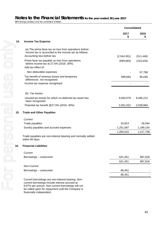# **Notes to the Financial Statements for the year ended 30 June 2017**

BPH Energy Limited and its controlled entities

|     |                                                                                                                                                | <b>Consolidated</b> |            |
|-----|------------------------------------------------------------------------------------------------------------------------------------------------|---------------------|------------|
|     |                                                                                                                                                | 2017<br>\$          | 2016<br>\$ |
| 14. | <b>Income Tax Expense</b>                                                                                                                      |                     |            |
|     | (a) The prima facie tax on loss from operations before<br>income tax is reconciled to the income tax as follows:<br>Accounting loss before tax | (2,544,301)         | (511, 446) |
|     | Prima facie tax payable on loss from operations<br>before income tax at 27.5% (2016: 30%)<br>Add tax effect of:                                | (699, 683)          | (153, 434) |
|     | Non-deductible expenses                                                                                                                        |                     | 57,788     |
|     | Tax benefit of revenue losses and temporary<br>differences not recognised                                                                      | 699,683             | 95,646     |
|     | Income tax expense recognised                                                                                                                  |                     |            |
|     | (b) Tax losses                                                                                                                                 |                     |            |
|     | Unused tax losses for which no deferred tax asset has<br>been recognised                                                                       | 9,640,079           | 8,466,212  |
|     | Potential tax benefit @27.5% (2016: 30%)                                                                                                       | 2,651,022           | 2,539,864  |
| 15. | <b>Trade and Other Payables</b>                                                                                                                |                     |            |
|     | Current                                                                                                                                        |                     |            |
|     | Trade payables                                                                                                                                 | 33,823              | 28,594     |
|     | Sundry payables and accrued expenses                                                                                                           | 1,251,087           | 1,189,154  |
|     |                                                                                                                                                | 1,284,910           | 1,217,748  |
|     | Trade payables are non-interest bearing and normally settled<br>within 60 days                                                                 |                     |            |
| 16. | <b>Financial Liabilities</b>                                                                                                                   |                     |            |
|     | Current                                                                                                                                        |                     |            |
|     | Borrowings - unsecured                                                                                                                         | 621,451             | 987,818    |
| ⊒   |                                                                                                                                                | 621,451             | 987,818    |
|     | Non-Current                                                                                                                                    |                     |            |
|     | Borrowings - unsecured                                                                                                                         | 86,451              |            |
|     |                                                                                                                                                | 86,451              |            |
|     | Current borrowings are non-interest bearing. Non-<br>current borrowings include interest accrued at                                            |                     |            |

8.97% per annum. Non-current borrowings will not be called upon for repayment until the Company is financially independent.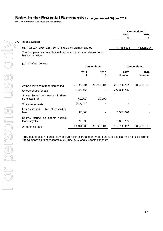# **Notes to the Financial Statements for the year ended 30 June 2017**

BPH Energy Limited and its controlled entities

|     |                                                                                         |            |              | <b>Consolidated</b>   |                       |
|-----|-----------------------------------------------------------------------------------------|------------|--------------|-----------------------|-----------------------|
|     |                                                                                         |            |              | 2017<br>S             | 2016<br>\$            |
| 17. | <b>Issued Capital</b>                                                                   |            |              |                       |                       |
|     | 588,702,017 (2016: 235,766,727) fully paid ordinary shares                              |            |              | 43,454,632            | 41,828,904            |
|     | The Company has no authorised capital and the issued shares do not<br>have a par value. |            |              |                       |                       |
|     | <b>Ordinary Shares</b><br>(a)                                                           |            | Consolidated |                       | <b>Consolidated</b>   |
|     |                                                                                         | 2017<br>\$ | 2016<br>\$   | 2017<br><b>Number</b> | 2016<br><b>Number</b> |
|     | At the beginning of reporting period                                                    | 41,828,904 | 41,759,904   | 235,766,727           | 235,766,727           |
|     | Shares issued for cash                                                                  | 1,425,462  |              | 277,390,265           |                       |
|     | Shares issued at closure of Share<br>Purchase Plan                                      | (69,000)   | 69,000       |                       |                       |
|     | Share issue costs                                                                       | (112, 772) |              |                       |                       |
|     | Shares issued in lieu of consulting<br>fees                                             | 87,000     |              | 16,537,290            |                       |

Shares issued as set-off against loans payable 295,038 - 59,007,735 At reporting date **43,454,632** 41,828,904 588,702,017 235,766,727

Fully paid ordinary shares carry one vote per share and carry the right to dividends. The market price of the Company's ordinary shares at 30 June 2017 was 0.2 cents per share.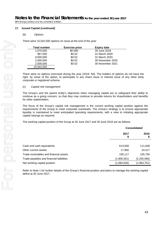#### **17. Issued Capital (continued)**

#### *(b) Options*

There were 15,042,500 options on issue at the end of the year:

| <b>Total number</b> | <b>Exercise price</b> | Expiry date      |
|---------------------|-----------------------|------------------|
| 1,075,000           | \$0.080               | 30 June 2018     |
| 967,500             | \$0.02                | 31 March 2020    |
| 9,000,000           | \$0.02                | 31 March 2020    |
| 2,000,000           | \$0.02                | 30 November 2020 |
| 2,000,000           | \$0.02                | 30 November 2021 |
| 15,042,500          |                       |                  |

There were no options exercised during the year (2016: Nil). The holders of options do not have the right, by virtue of the option, to participate in any share issue or interest issue of any other body corporate or registered scheme.

#### *(c) Capital risk management*

The Group's and the parent entity's objectives when managing capital are to safeguard their ability to continue as a going concern, so that they may continue to provide returns for shareholders and benefits for other stakeholders.

The focus of the Group's capital risk management is the current working capital position against the requirements of the Group to meet corporate overheads. The Group's strategy is to ensure appropriate liquidity is maintained to meet anticipated operating requirements, with a view to initiating appropriate capital raisings as required.

The working capital position of the Group at 30 June 2017 and 30 June 2016 are as follows:

|                                          |             | <b>Consolidated</b> |
|------------------------------------------|-------------|---------------------|
|                                          | 2017<br>\$  | 2016<br>S           |
| Cash and cash equivalents                | 613,658     | 111,648             |
| Other current assets                     | 17,960      | 24,417              |
| Trade receivables and financial assets   | 190,117     | 105,750             |
| Trade payables and financial liabilities | (1,906,361) | (2,205,566)         |
| Net working capital position             | (1,084,626) | (1,963,751)         |

Refer to Note 1 for further details of the Group's financial position and plans to manage the working capital deficit at 30 June 2017.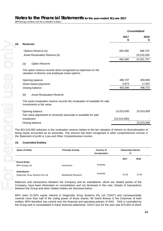# **Notes to the Financial Statements for the year ended 30 June 2017**

BPH Energy Limited and its controlled entities

|     |                                               |                                  |                                                                                                                                                                                                                                                                                                                                                                                                                                     |                                    |                                | <b>Consolidated</b> |
|-----|-----------------------------------------------|----------------------------------|-------------------------------------------------------------------------------------------------------------------------------------------------------------------------------------------------------------------------------------------------------------------------------------------------------------------------------------------------------------------------------------------------------------------------------------|------------------------------------|--------------------------------|---------------------|
|     |                                               |                                  |                                                                                                                                                                                                                                                                                                                                                                                                                                     |                                    | 2017<br>\$                     | 2016<br>\$          |
| 18. | <b>Reserves</b>                               |                                  |                                                                                                                                                                                                                                                                                                                                                                                                                                     |                                    |                                |                     |
|     |                                               | Options Reserve (a)              |                                                                                                                                                                                                                                                                                                                                                                                                                                     |                                    | 492,580                        | 486,707             |
|     |                                               | Asset Revaluation Reserve (b)    |                                                                                                                                                                                                                                                                                                                                                                                                                                     |                                    |                                | 15,015,000          |
|     | (a)                                           | <b>Option Reserve</b>            |                                                                                                                                                                                                                                                                                                                                                                                                                                     |                                    | 492,580                        | 15,501,707          |
|     |                                               |                                  |                                                                                                                                                                                                                                                                                                                                                                                                                                     |                                    |                                |                     |
|     |                                               |                                  | The option reserve records items recognised as expenses on the<br>valuation of director and employee share options.                                                                                                                                                                                                                                                                                                                 |                                    |                                |                     |
|     |                                               | Opening balance                  |                                                                                                                                                                                                                                                                                                                                                                                                                                     |                                    | 486,707                        | 469,650             |
|     |                                               | Share based payments             |                                                                                                                                                                                                                                                                                                                                                                                                                                     |                                    | 5,873                          | 17,057              |
|     |                                               | Closing balance                  |                                                                                                                                                                                                                                                                                                                                                                                                                                     |                                    | 492,580                        | 486,707             |
|     | (b)                                           | <b>Asset Revaluation Reserve</b> |                                                                                                                                                                                                                                                                                                                                                                                                                                     |                                    |                                |                     |
|     |                                               | investments to fair value.       | The asset revaluation reserve records the revaluation of available for sale                                                                                                                                                                                                                                                                                                                                                         |                                    |                                |                     |
|     |                                               | Opening balance                  |                                                                                                                                                                                                                                                                                                                                                                                                                                     |                                    | 15,015,000                     | 15,015,000          |
|     |                                               |                                  | Fair value adjustment to reclassify associate to available for sale                                                                                                                                                                                                                                                                                                                                                                 |                                    |                                |                     |
|     | investment                                    |                                  |                                                                                                                                                                                                                                                                                                                                                                                                                                     |                                    | (15,015,000)                   |                     |
|     |                                               | Closing balance                  |                                                                                                                                                                                                                                                                                                                                                                                                                                     |                                    |                                | 15,015,000          |
| 19. |                                               | <b>Controlled Entities</b>       | The \$15,015,000 reduction in the revaluation reserve relates to the fair valuation of Advent on discontinuation of<br>being equity accounted as an associate. This amount has been recognised in other comprehensive income in<br>the Statement of profit or Loss and Other Comprehensive income.                                                                                                                                  |                                    |                                |                     |
|     | <b>Name of Entity</b>                         |                                  | <b>Principal Activity</b>                                                                                                                                                                                                                                                                                                                                                                                                           | <b>Country of</b><br>Incorporation | <b>Ownership Interest</b><br>% |                     |
|     |                                               |                                  |                                                                                                                                                                                                                                                                                                                                                                                                                                     |                                    | 2017                           | 2016                |
|     | <b>Parent Entity</b><br><b>BPH Energy Ltd</b> |                                  | Investment                                                                                                                                                                                                                                                                                                                                                                                                                          | Australia                          |                                |                     |
|     |                                               |                                  |                                                                                                                                                                                                                                                                                                                                                                                                                                     |                                    |                                |                     |
|     | <b>Subsidiaries</b>                           | Diagnostic Array Systems Pty Ltd | <b>BioMedical Research</b>                                                                                                                                                                                                                                                                                                                                                                                                          | Australia                          | 51.82                          | 51.82               |
|     |                                               |                                  | Balances and transactions between the Company and its subsidiaries, which are related parties of the<br>Company, have been eliminated on consolidation and not disclosed in this note. Details of transactions<br>between the Group and other related entities are disclosed below.                                                                                                                                                 |                                    |                                |                     |
|     |                                               |                                  | BPH owns 51.82% equity interest in Diagnostic Array Systems Pty Ltd ("DAS") and consequentially<br>controls more than half of the voting power of those shares. Mr David Breeze is the Chairman of both<br>entities. BPH therefore has control over the financial and operating policies of DAS. DAS is controlled by<br>the Group and is consolidated in these financial statements. DAS's loss for the year was \$74,003 of which |                                    |                                |                     |

# **19. Controlled Entities**

| Name of Entity                                          | <b>Principal Activity</b>  | Country of<br>Incorporation | <b>Ownership Interest</b><br>% |       |
|---------------------------------------------------------|----------------------------|-----------------------------|--------------------------------|-------|
|                                                         |                            |                             | 2017                           | 2016  |
| <b>Parent Entity</b><br><b>BPH Energy Ltd</b>           | Investment                 | Australia                   |                                |       |
| <b>Subsidiaries</b><br>Diagnostic Array Systems Pty Ltd | <b>BioMedical Research</b> | Australia                   | 51.82                          | 51.82 |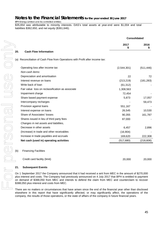# **Notes to the Financial Statements for the year ended 30 June 2017**

BPH Energy Limited and its controlled entities

\$35,654 was attributable to minority interests. DAS's total assets at year-end were \$1,004 and total liabilities \$362,650, and net equity (\$361,646).

|     |                                                                                                                                                                                                                                                                                                                                                                                  | <b>Consolidated</b> |            |
|-----|----------------------------------------------------------------------------------------------------------------------------------------------------------------------------------------------------------------------------------------------------------------------------------------------------------------------------------------------------------------------------------|---------------------|------------|
|     |                                                                                                                                                                                                                                                                                                                                                                                  | 2017<br>\$          | 2016       |
| 20. | <b>Cash Flow Information</b>                                                                                                                                                                                                                                                                                                                                                     |                     |            |
| (a) | Reconciliation of Cash Flow from Operations with Profit after income tax:                                                                                                                                                                                                                                                                                                        |                     |            |
|     | Operating loss after income tax<br>Non-cash items:                                                                                                                                                                                                                                                                                                                               | (2,544,301)         | (511, 446) |
|     | Depreciation and amortisation                                                                                                                                                                                                                                                                                                                                                    | 22                  | 72         |
|     | Interest revenue on loans                                                                                                                                                                                                                                                                                                                                                        | (213, 219)          | (181, 283) |
|     | Write back of loan                                                                                                                                                                                                                                                                                                                                                               | (61, 312)           |            |
|     | Fair value loss on reclassification as associate                                                                                                                                                                                                                                                                                                                                 | 1,308,563           |            |
|     | Impairment charge                                                                                                                                                                                                                                                                                                                                                                | 72,454              |            |
|     | Share based payment expense                                                                                                                                                                                                                                                                                                                                                      | 5,873               | 17,057     |
|     | Intercompany recharges                                                                                                                                                                                                                                                                                                                                                           |                     | 59,473     |
|     | Provision against loans                                                                                                                                                                                                                                                                                                                                                          | 551,167             |            |
|     | Interest expense on loans                                                                                                                                                                                                                                                                                                                                                        | 26,545              | 10,530     |
|     | Share of Associates' losses                                                                                                                                                                                                                                                                                                                                                      | 90,355              | 161,787    |
|     | Shares issued in lieu of third party fees                                                                                                                                                                                                                                                                                                                                        | 87,000              |            |
|     | Changes in net assets and liabilities,                                                                                                                                                                                                                                                                                                                                           |                     |            |
|     | Decrease in other assets                                                                                                                                                                                                                                                                                                                                                         | 6,457               | 2,896      |
|     | (Increase) in trade and other receivables                                                                                                                                                                                                                                                                                                                                        | (16, 904)           |            |
|     | Increase in trade payables and accruals                                                                                                                                                                                                                                                                                                                                          | 169,620             | 222,308    |
|     | Net cash (used in) operating activities                                                                                                                                                                                                                                                                                                                                          | (517, 680)          | (218, 606) |
| (b) | <b>Financing Facilities</b>                                                                                                                                                                                                                                                                                                                                                      |                     |            |
|     | Credit card facility (limit)                                                                                                                                                                                                                                                                                                                                                     | 20,000              | 20,000     |
| 21. | <b>Subsequent Events</b>                                                                                                                                                                                                                                                                                                                                                         |                     |            |
|     | On 1 September 2017 the Company announced that it had received a writ from MEC in the amount of \$270,000<br>plus interest and costs. The Company had previously announced on 4 July 2017 that BPH is entitled to payment<br>on demand of \$388,050 from MEC and intends to defend the claim from MEC and counterclaim to recover<br>\$388,050 plus interest and costs from MEC. |                     |            |
|     | There are no matters or circumstances that have arisen since the end of the financial year other than disclosed<br>elsewhere in this report that have significantly affected, or may significantly affect, the operations of the<br>company, the results of those operations, or the state of affairs of the company in future financial years.                                  |                     |            |

#### **21. Subsequent Events**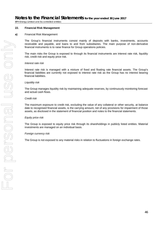#### **22. Financial Risk Management**

#### **a)** Financial Risk Management

The Group's financial instruments consist mainly of deposits with banks, investments, accounts receivable and payable, and loans to and from subsidiaries. The main purpose of non-derivative financial instruments is to raise finance for Group operations policies.

The main risks the Group is exposed to through its financial instruments are interest rate risk, liquidity risk, credit risk and equity price risk.

#### *Interest rate risk*

Interest rate risk is managed with a mixture of fixed and floating rate financial assets. The Group's financial liabilities are currently not exposed to interest rate risk as the Group has no interest bearing financial liabilities.

#### *Liquidity risk*

The Group manages liquidity risk by maintaining adequate reserves, by continuously monitoring forecast and actual cash flows.

#### *Credit risk*

The maximum exposure to credit risk, excluding the value of any collateral or other security, at balance date to recognised financial assets, is the carrying amount, net of any provisions for impairment of those assets, as disclosed in the statement of financial position and notes to the financial statements.

#### *Equity price risk*

The Group is exposed to equity price risk through its shareholdings in publicly listed entities. Material investments are managed on an individual basis.

#### *Foreign currency risk*

The Group is not exposed to any material risks in relation to fluctuations in foreign exchange rates.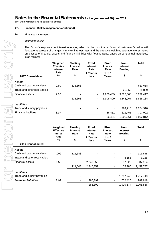# **22. Financial Risk Management (continued)**

# **b)** Financial Instruments

#### *Interest rate risk*

The Group's exposure to interest rate risk, which is the risk that a financial instrument's value will fluctuate as a result of changes in market interest rates and the effective weighted average interest rates on classes of financial assets and financial liabilities with floating rates, based on contractual maturities, is as follows:

|                              | Weighted<br><b>Effective</b><br><b>Interest</b> | <b>Floating</b><br><b>Interest</b><br>Rate | <b>Fixed</b><br><b>Interest</b><br>Rate | <b>Fixed</b><br><b>Interest</b><br>Rate | Non-<br><b>Interest</b><br><b>Bearing</b> | Total     |
|------------------------------|-------------------------------------------------|--------------------------------------------|-----------------------------------------|-----------------------------------------|-------------------------------------------|-----------|
| 2017 Consolidated            | Rate<br>%                                       | \$                                         | 1 Year or<br>less                       | 1 to 5<br>Years                         | \$                                        | \$        |
| <b>Assets</b>                |                                                 |                                            |                                         |                                         |                                           |           |
| Cash and cash equivalents    | 0.60                                            | 613,658                                    |                                         |                                         | $\blacksquare$                            | 613,658   |
| Trade and other receivables  |                                                 |                                            |                                         |                                         | 25,059                                    | 25,059    |
| <b>Financial assets</b>      | 9.66                                            |                                            |                                         | 1,906,409                               | 3,323,008                                 | 5,229,417 |
|                              |                                                 | 613,658                                    |                                         | 1,906,409                               | 3,348,067                                 | 5,868,134 |
| Liabilities                  |                                                 |                                            |                                         |                                         |                                           |           |
| Trade and sundry payables    |                                                 |                                            |                                         |                                         | 1,284,910                                 | 1,284,910 |
| <b>Financial liabilities</b> | 8.97                                            |                                            | ٠                                       | 86,451                                  | 621,451                                   | 707,902   |
|                              |                                                 |                                            |                                         | 86,451                                  | 1,906,361                                 | 1,992,812 |

|                              | Weighted<br><b>Effective</b><br><b>Interest</b> | <b>Floating</b><br><b>Interest</b><br>Rate | <b>Fixed</b><br><b>Interest</b><br>Rate | <b>Fixed</b><br><b>Interest</b><br>Rate | Non-<br><b>Interest</b><br><b>Bearing</b> | Total     |
|------------------------------|-------------------------------------------------|--------------------------------------------|-----------------------------------------|-----------------------------------------|-------------------------------------------|-----------|
|                              | Rate<br>%                                       | \$                                         | 1 Year or<br>less                       | 1 to $5$<br>Years                       | \$                                        | \$        |
| 2016 Consolidated            |                                                 |                                            |                                         |                                         |                                           |           |
| <b>Assets</b>                |                                                 |                                            |                                         |                                         |                                           |           |
| Cash and cash equivalents    | .009                                            | 111,648                                    |                                         |                                         | $\blacksquare$                            | 111,648   |
| Trade and other receivables  |                                                 |                                            |                                         | -                                       | 8,155                                     | 8,155     |
| Financial assets             | 8.58                                            |                                            | 2,240,359                               |                                         | 97,625                                    | 2,337,984 |
|                              |                                                 | 111,648                                    | 2,240,359                               | -                                       | 105,780                                   | 2,457,787 |
| <b>Liabilities</b>           |                                                 |                                            |                                         |                                         |                                           |           |
| Trade and sundry payables    |                                                 |                                            |                                         | $\blacksquare$                          | 1,217,748                                 | 1,217,748 |
| <b>Financial liabilities</b> | 8.97                                            |                                            | 285,392                                 | -                                       | 702,426                                   | 987,818   |
|                              |                                                 |                                            | 285,392                                 |                                         | 1,920,174                                 | 2,205,566 |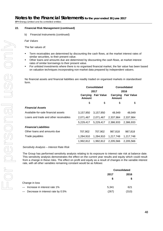# **22. Financial Risk Management (continued)**

b) Financial Instruments (continued)

#### *Fair Values*

The fair values of:

- Term receivables are determined by discounting the cash flows, at the market interest rates of similar securities, to their present value.
- Other loans and amounts due are determined by discounting the cash flows, at market interest rates of similar borrowings to their present value.
- For unlisted investments where there is no organised financial market, the fair value has been based on valuation techniques incorporating non-market data prepared by independent valuers.

No financial assets and financial liabilities are readily traded on organised markets in standardised form.

|                                       |                    | <b>Consolidated</b> |                    | <b>Consolidated</b> |  |
|---------------------------------------|--------------------|---------------------|--------------------|---------------------|--|
|                                       |                    | 2017                |                    | 2016                |  |
|                                       | Carrying<br>Amount | <b>Fair Value</b>   | Carrying<br>Amount | <b>Fair Value</b>   |  |
|                                       | \$                 | \$                  | \$                 | \$                  |  |
| <b>Financial Assets</b>               |                    |                     |                    |                     |  |
| Available-for-sale financial assets   | 3,157,950          | 3,157,950           | 48,949             | 48,949              |  |
| Loans and trade and other receivables | 2,071,467          | 2,071,467           | 2,337,984          | 2,337,984           |  |
|                                       | 5,229,417          | 5,229,417           | 2,386,933          | 2,386,933           |  |
| <i><b>Financial Liabilities</b></i>   |                    |                     |                    |                     |  |
| Other loans and amounts due           | 707,902            | 707,902             | 987,818            | 987,818             |  |
| Trade payables                        | 1,284,910          | 1,284,910           | 1,217,748          | 1,217,748           |  |
|                                       | 1,992,812          | 1,992,812           | 2,205,566          | 2,205,566           |  |

#### *Sensitivity Analysis – Interest Rate Risk*

The Group has performed sensitivity analysis relating to its exposure to interest rate risk at balance date. This sensitivity analysis demonstrates the effect on the current year results and equity which could result from a change in these risks. The effect on profit and equity as a result of changes in the variable interest rate, with all other variables remaining constant would be as follows:

|                                       |       | <b>Consolidated</b> |
|---------------------------------------|-------|---------------------|
|                                       | 2017  | 2016                |
|                                       | S     |                     |
| Change in loss                        |       |                     |
| - Increase in interest rate 1%        | 5.341 | 621                 |
| $-$ Decrease in interest rate by 0.5% | (267) | (310)               |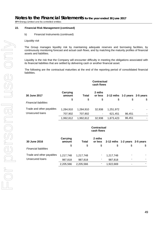#### **22. Financial Risk Management (continued)**

#### b) Financial Instruments (continued)

#### *Liquidity risk*

The Group manages liquidity risk by maintaining adequate reserves and borrowing facilities, by continuously monitoring forecast and actual cash flows, and by matching the maturity profiles of financial assets and liabilities.

Liquidity is the risk that the Company will encounter difficulty in meeting the obligations associated with its financial liabilities that are settled by delivering cash or another financial asset.

 The following are the contractual maturities at the end of the reporting period of consolidated financial liabilities.

# **Contractual cash flows**

| 30 June 2017                                | Carrying<br>amount   | Total                | 2 mths<br>or less | 2-12 mths 1-2 years 2-5 years |                  |    |
|---------------------------------------------|----------------------|----------------------|-------------------|-------------------------------|------------------|----|
| <b>Financial liabilities</b>                | \$                   | \$                   |                   |                               |                  | S. |
| Trade and other payables<br>Unsecured loans | 1,284,910            | 1.284.910            | 32.938            | 1.251.972                     |                  |    |
|                                             | 707.902<br>1,992,812 | 707.902<br>1,992,812 | 32.938            | 621.451<br>1.873.423          | 86.451<br>86,451 |    |

#### **Contractual cash flows**

| 30 June 2016                 | Carrying<br>amount | Total     | 2 mths<br>or less | 2-12 mths $-1$ -2 years 2-5 years |   |    |
|------------------------------|--------------------|-----------|-------------------|-----------------------------------|---|----|
| <b>Financial liabilities</b> | S                  | \$.       | S                 | \$                                |   | S. |
| Trade and other payables     | 1,217,748          | 1,217,748 |                   | 1,217,748                         | - |    |
| Unsecured loans              | 987.818            | 987.818   |                   | 987.818                           | - |    |
|                              | 2,205,566          | 2,205,566 |                   | 1,922,669                         |   |    |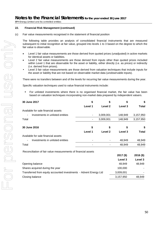# **22. Financial Risk Management (continued)**

(c) Fair value measurements recognised in the statement of financial position

The following table provides an analysis of consolidated financial instruments that are measured subsequent to initial recognition at fair value, grouped into levels 1 to 3 based on the degree to which the fair value is observable.

- Level 1 fair value measurements are those derived from quoted prices (unadjusted) in active markets for identical assets or liabilities.
- Level 2 fair value measurements are those derived from inputs other than quoted prices included within Level 1 that are observable for the asset or liability, either directly (i.e. as prices) or indirectly (i.e. derived from prices).
- Level 3 fair value measurements are those derived from valuation techniques that include inputs for the asset or liability that are not based on observable market data (unobservable inputs).

There were no transfers between and of the levels for recurring fair value measurements during the year.

Specific valuation techniques used to value financial instruments include:

 For unlisted investments where there is no organised financial market, the fair value has been based on valuation techniques incorporating non-market data prepared by independent valuers.

| Level 2<br>3,009,001<br>3,009,001 | Level 3<br>148,949<br>148,949 | <b>Total</b><br>3,157,950<br>3,157,950 |
|-----------------------------------|-------------------------------|----------------------------------------|
|                                   |                               |                                        |
|                                   |                               |                                        |
|                                   |                               |                                        |
|                                   |                               |                                        |
| \$                                | S                             | \$                                     |
| Level 2                           | Level 3                       | <b>Total</b>                           |
|                                   |                               |                                        |
|                                   |                               | 48,949                                 |
|                                   |                               | 48,949                                 |
|                                   |                               | 48,949<br>48,949                       |

Reconciliation of fair value measurements of financial assets

|                                                                   | $2017($ \$) | $2016($ \$) |
|-------------------------------------------------------------------|-------------|-------------|
|                                                                   | Level 3     | Level 3     |
| Opening balance                                                   | 48.949      | 48.949      |
| Shares acquired during the year                                   | 100,000     |             |
| Transferred from equity accounted investments - Advent Energy Ltd | 3,009,001   |             |
| Closing balance                                                   | 3,157,950   | 48.949      |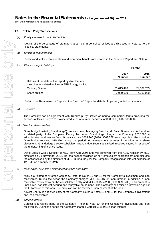#### **23. Related Party Transactions**

#### *(a) Equity interests in controlled entities*

Details of the percentage of ordinary shares held in controlled entities are disclosed in Note 19 to the financial statements.

#### *(b) Directors' remuneration*

Details of directors' remuneration and retirement benefits are located in the Directors Report and Note 4.

#### $(c)$  Directors' equity holdings

|                                                                                                              |                       | <b>Parent</b>         |
|--------------------------------------------------------------------------------------------------------------|-----------------------|-----------------------|
|                                                                                                              | 2017<br><b>Number</b> | 2016<br><b>Number</b> |
| Held as at the date of this report by directors and<br>their director-related entities in BPH Energy Limited |                       |                       |
| <b>Ordinary Shares</b>                                                                                       | 83,015,470            | 24,007,735            |
| Share options                                                                                                | 2,000,000             | 4,000,000             |
|                                                                                                              |                       |                       |

Refer to the Remuneration Report in the Directors' Report for details of options granted to directors.

#### *(d) Directors*

The Company has an agreement with Trandcorp Pty Limited on normal commercial terms procuring the services of David Breeze to provide product development services for \$98,000 (2016: \$98,000).

#### *(e) Director related entities*

Grandbridge Limited ("Grandbridge") has a common Managing Director, Mr David Breeze, and is therefore a related party of the Company. During the period Grandbridge charged the Company \$252,595 in administration and service fees. At balance date \$624,966 (2016: \$563,578) was payable to Grandbridge. Grandbridge received \$10,370 during the period for management services in relation to a share placement. Grandbridge's 100% subsidiary, Grandbridge Securities Limited, received \$8,750 in respect of the underwriting of a share issue.

David Breeze was a Director of MEC from April 2005 and was removed from the ASIC register by MEC directors on 23 November 2016. He has neither resigned or nor removed by shareholders and disputes the actions taken by the directors of MEC. During the year the Company recognised an interest expense of \$26,545 on a liability to MMR.

#### *(f) Receivables, payables and transactions with associates*

MDS is a related party of the Company. Refer to Notes 10 and 13 for the Company's investment and loan receivables. During the period the Company charged MDS \$45,166 in loan interest. In addition, a loan receivable exists between the consolidated entity and MDS of \$594,200 (2016:\$590,200). This amount is unsecured, non-interest bearing and repayable on demand. The Company has raised a provision against the full amount of this loan. The provision can be reversed upon payment of the loan.

Advent Energy is a related party of the Company. Refer to Notes 10 and 13 for the Company's investment and loan receivables.

#### *(g) Other Interests*

Cortical is a related party of the Company. Refer to Note 10 for the Company's investment and loan receivables. During the period the Company charged Cortical \$168,051 in loan interest.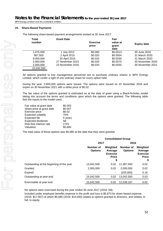#### **24. Share-Based Payments**

The following share-based payment arrangements existed at 30 June 2017:

| Total      | <b>Grant Date</b> |                          | Fair                      |                    |
|------------|-------------------|--------------------------|---------------------------|--------------------|
| number     |                   | <b>Exercise</b><br>price | value at<br>grant<br>date | <b>Expiry date</b> |
| 1,075,000  | 1 July 2013       | \$0.080                  | \$0.0013                  | 30 June 2018       |
| 967.500    | 2 April 2015      | \$0.020                  | \$0.0004                  | 31 March 2020      |
| 9,000,000  | 20 April 2015     | \$0.020                  | \$0.0030                  | 31 March 2020      |
| 2,000,000  | 27 November 2015  | \$0.020                  | \$0,0070                  | 30 November 2020   |
| 2,000,000  | 23 November 2016  | \$0.020                  | \$0.0030                  | 30 November 2021   |
| 15,042,500 |                   |                          |                           |                    |

All options granted to key management personnel are to purchase ordinary shares in BPH Energy Limited, which confer a right of one ordinary share for every option held.

During the year, 2,000,000 options were issued. The options were issued on 23 November 2016 and expire on 30 November 2021 with a strike price of \$0.02.

The fair value of the options granted is estimated as at the date of grant using a Black-Scholes model taking into account the terms and conditions upon which the options were granted. The following table lists the inputs to the model used.

| Fair value at grant date   | \$0.003 |
|----------------------------|---------|
| Share price at grant date  | \$0.007 |
| Exercise price             | \$0.02  |
| <b>Expected volatility</b> | 75%     |
| <b>Expected life</b>       | 5 years |
| <b>Expected dividends</b>  | Nil     |
| Risk-free interest rate    | 2.5%    |
| Valuation                  | \$5.680 |

The total value of these options was \$5,680 at the date that they were granted.

|                                          | <b>Consolidated Group</b>   |                                                              |                             |                                                             |
|------------------------------------------|-----------------------------|--------------------------------------------------------------|-----------------------------|-------------------------------------------------------------|
|                                          | 2017                        |                                                              | 2016                        |                                                             |
|                                          | Number of<br><b>Options</b> | Weighted<br>Average<br><b>Exercise</b><br><b>Price</b><br>\$ | Number of<br><b>Options</b> | Weighted<br>Average<br><b>Exercise</b><br><b>Price</b><br>S |
| Outstanding at the beginning of the year | 13,042,500                  | 0.02                                                         | 11,367,500                  | 0.02                                                        |
| Granted                                  | 2,000,000                   | 0.02                                                         | 2,000,000                   | 0.02                                                        |
| Expired                                  |                             | $\overline{\phantom{a}}$                                     | (325,000)                   | 0.16                                                        |
| Outstanding at year-end                  | 15,042,500                  | 0.02                                                         | 13.042.500                  | 0.03                                                        |
| Exercisable at year-end                  | 15.042.500                  | 0.02                                                         | 12,039,167                  | 0.02                                                        |

No options were exercised during the year ended 30 June 2017 (2016: Nil).

Included under employee benefits expense in the profit and loss is \$5,873 for share based expense (2016: \$17,057) of which \$5,680 (2016: \$14,000) relates to options granted to directors, and relates, in full, to equity.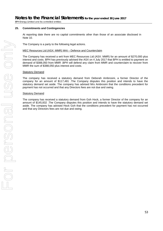#### **25. Commitments and Contingencies**

At reporting date there are no capital commitments other than those of an associate disclosed in Note 10.

The Company is a party to the following legal actions.

#### MEC Resources Ltd (ASX: MMR) Writ – Defence and Counterclaim

The Company has received a writ from MEC Resources Ltd (ASX: MMR) for an amount of \$270,000 plus interest and costs. BPH has previously advised the ASX on 4 July 2017 that BPH is entitled to payment on demand of \$388,050 from MMR .BPH will defend any claim from MMR and counterclaim to recover from MMR the sum of \$388,050 plus interest and costs.

#### **Statutory Demand**

The company has received a statutory demand from Deborah Ambrosini, a former Director of the company for an amount of \$117,481 .The Company disputes this position and intends to have the statutory demand set aside. The company has advised Mrs Ambrosini that the conditions precedent for payment has not occurred and that any Directors fees are not due and owing.

#### **Statutory Demand**

The company has received a statutory demand from Goh Hock, a former Director of the company for an amount of \$145,832 .The Company disputes this position and intends to have the statutory demand set aside. The company has advised Hock Goh that the conditions precedent for payment has not occurred and that any Directors fees are not due and owing.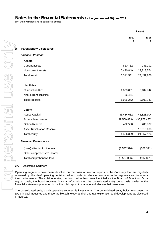# **Notes to the Financial Statements for the year ended 30 June 2017**

BPH Energy Limited and its controlled entities

|     |                                  |                | <b>Parent</b>  |
|-----|----------------------------------|----------------|----------------|
|     |                                  | 2017<br>\$     | 2016<br>\$     |
| 26. | <b>Parent Entity Disclosures</b> |                |                |
|     | <b>Financial Position</b>        |                |                |
|     | <b>Assets</b>                    |                |                |
|     | <b>Current assets</b>            | 820,732        | 241,292        |
|     | Non-current assets               | 5,490,849      | 23,218,574     |
|     | <b>Total asset</b>               | 6,311,581      | 23,459,866     |
|     | <b>Liabilities</b>               |                |                |
|     | <b>Current liabilities</b>       | 1,838,801      | 2,102,742      |
|     | Non-current liabilities          | 86,451         |                |
|     | <b>Total liabilities</b>         | 1,925,252      | 2,102,742      |
|     | <b>Equity</b>                    |                |                |
|     | <b>Issued Capital</b>            | 43,454,632     | 41,828,904     |
|     | <b>Accumulated losses</b>        | (39, 560, 883) | (35, 973, 487) |
|     | <b>Option Reserve</b>            | 492,580        | 486,707        |
|     | <b>Asset Revaluation Reserve</b> |                | 15,015,000     |
|     | Total equity                     | 4,386,329      | 21,357,124     |
|     | <b>Financial Performance</b>     |                |                |
|     | (Loss) after tax for the year    | (3,587,396)    | (507, 321)     |
|     | Other comprehensive income       |                |                |
|     | Total comprehensive loss         | (3,587,396)    | (507, 321)     |
|     |                                  |                |                |

#### **27. Operating Segment**

Operating segments have been identified on the basis of internal reports of the Company that are regularly reviewed by the chief operating decision maker in order to allocate resources to the segments and to assess their performance. The chief operating decision maker has been identified as the Board of Directors. On a regular basis, the board receives financial information on the consolidated entity on a basis similar to the financial statements presented in the financial report, to manage and allocate their resources.

The consolidated entity's only operating segment is investments. The consolidated entity holds investments in two principal industries and these are biotechnology, and oil and gas exploration and development, as disclosed in Note 13.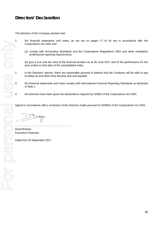The directors of the Company declare that:

- 1. the financial statements and notes, as set out on pages 17 to 54 are in accordance with the Corporations Act 2001 and:
	- (a) comply with Accounting Standards and the Corporations Regulations 2001 and other mandatory professional reporting requirements;

(b) give a true and fair view of the financial position as at 30 June 2017 and of the performance for the year ended on that date of the consolidated entity;

- 2. in the Directors' opinion, there are reasonable grounds to believe that the Company will be able to pay its debts as and when they become due and payable:
- 3. the financial statements and notes comply with International Financial Reporting Standards as disclosed in Note 1.
- 4. the directors have been given the declarations required by S295A of the Corporations Act 2001

Signed in accordance with a resolution of the directors made pursuant to S295(5) of the Corporations Act 2001.

David Breeze Executive Chairman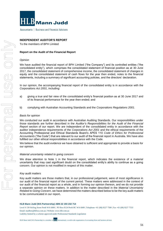

Accountants | Business and Financial Advisers

# **INDEPENDENT AUDITOR'S REPORT**

To the members of BPH Limited

#### **Report on the Audit of the Financial Report**

#### *Opinion*

We have audited the financial report of BPH Limited ("the Company") and its controlled entities ("the consolidated entity"), which comprises the consolidated statement of financial position as at 30 June 2017, the consolidated statement of comprehensive income, the consolidated statement of changes in equity and the consolidated statement of cash flows for the year then ended, notes to the financial statements, including a summary of significant accounting policies, and the directors' declaration.

In our opinion, the accompanying financial report of the consolidated entity is in accordance with the *Corporations Act 2001*, including:

- a) giving a true and fair view of the consolidated entity's financial position as at 30 June 2017 and of its financial performance for the year then ended; and
- b) complying with Australian Accounting Standards and the *Corporations Regulations 2001*.

#### *Basis for opinion*

We conducted our audit in accordance with Australian Auditing Standards. Our responsibilities under those standards are further described in the *Auditor's Responsibilities for the Audit of the Financial Report* section of our report. We are independent of the consolidated entity in accordance with the auditor independence requirements of the *Corporations Act 2001* and the ethical requirements of the Accounting Professional and Ethical Standards Board's APES 110 *Code of Ethics for Professional Accountants* ("the Code") that are relevant to our audit of the financial report in Australia. We have also fulfilled our other ethical responsibilities in accordance with the Code.

We believe that the audit evidence we have obtained is sufficient and appropriate to provide a basis for our opinion.

#### *Material uncertainty related to going concern*

We draw attention to Note 1 in the financial report, which indicates the existence of a material uncertainty that may cast significant doubt on the consolidated entity's ability to continue as a going concern. Our opinion is not modified in respect of this matter.

#### *Key audit matters*

Key audit matters are those matters that, in our professional judgement, were of most significance in our audit of the financial report of the current period. These matters were addressed in the context of our audit of the financial report as a whole, and in forming our opinion thereon, and we do not provide a separate opinion on these matters. In addition to the matter described in the *Material Uncertainty Related to Going Concern*, we have determined the matters described below to be the key audit matters to be communicated in our report**.**

#### **HLB Mann Judd (WA Partnership) ABN 22 193 232 714**

Level 4 130 Stirling Street Perth WA 6000 | PO Box 8124 Perth BC WA 6849 | Telephone +61 (08) 9227 7500 | Fax +61 (08) 9227 7533 Email: mailbox@hlbwa.com.au | Website: www.hlb.com.au Liability limited by a scheme approved under Professional Standards Legislation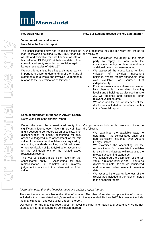

# **Key Audit Matter How our audit addressed the key audit matter**

# **Valuation of financial assets**

Note 10 in the financial report

The consolidated entity has financial assets of loan receivables totalling \$2,071,467, financial assets and available for sale financial assets at fair value of \$3,157,950 at balance date. The consolidated entity recorded a provision against its loan receivables of \$551,167.

We considered this to be a key audit matter as it is important to users' understanding of the financial statements as a whole and involves judgement in relation to the determination of fair value.

Our procedures included but were not limited to the following:

- We considered the ability of the other party to repay its loan with the consolidated entity to determine if any additional provisions were required.
- We assessed the consolidated entity's valuation of individual investment holdings. Where readily observable data was available, we sourced that independently.
- For investments where there was less or little observable market data, including level 2 and 3 holdings as disclosed in note 22, we obtained and assessed other relevant valuation data.
- We assessed the appropriateness of the disclosures included in the relevant notes to the financial report.

# **Loss of significant influence in Advent Energy**

Notes 3 and 10 in the financial report

During the year the consolidated entity lost significant influence over Advent Energy Limited and it ceased to be treated as an associate. The discontinuation of equity accounting for this associate triggered a re-assessment of the fair value of the investment in Advent as required by accounting standards resulting in a fair value loss on reclassification of \$1,308,563 after accounting for the extinguishment of the related asset revaluation reserve

This was considered a significant event for the consolidated entity. Accounting for this reclassification is complex and involves judgement in relation to the determination of fair value.

Our procedures included but were not limited to the following:

- We examined the available facts to determine if the consolidated entity still had significant influence over Advent Energy Limited.
- We examined the accounting for the reclassification from associate to available for sale financial assets with regards to the relevant accounting standards.
- We considered the estimation of the fair value in relation level 2 and 3 inputs as disclosed in note 22 and we considered and assessed other relevant valuation data.
- We assessed the appropriateness of the disclosures included in the relevant notes to the financial report.

*Information other than the financial report and auditor's report thereon*

The directors are responsible for the other information. The other information comprises the information included in the consolidated entity's annual report for the year ended 30 June 2017, but does not include the financial report and our auditor's report thereon.

Our opinion on the financial report does not cover the other information and accordingly we do not express any form of assurance conclusion thereon.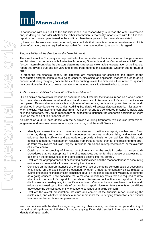

In connection with our audit of the financial report, our responsibility is to read the other information and, in doing so, consider whether the other information is materially inconsistent with the financial report or our knowledge obtained in the audit or otherwise appears to be materially misstated.

If, based on the work we have performed, we conclude that there is a material misstatement of this other information, we are required to report that fact. We have nothing to report in this regard.

#### *Responsibilities of the directors for the financial report*

The directors of the Company are responsible for the preparation of the financial report that gives a true and fair view in accordance with Australian Accounting Standards and the *Corporations Act 2001* and for such internal control as the directors determine is necessary to enable the preparation of the financial report that gives a true and fair view and is free from material misstatement, whether due to fraud or error.

In preparing the financial report, the directors are responsible for assessing the ability of the consolidated entity to continue as a going concern, disclosing, as applicable, matters related to going concern and using the going concern basis of accounting unless the directors either intend to liquidate the consolidated entity or to cease operations, or have no realistic alternative but to do so.

#### *Auditor's responsibilities for the audit of the financial report*

Our objectives are to obtain reasonable assurance about whether the financial report as a whole is free from material misstatement, whether due to fraud or error, and to issue an auditor's report that includes our opinion. Reasonable assurance is a high level of assurance, but is not a guarantee that an audit conducted in accordance with Australian Auditing Standards will always detect a material misstatement when it exists. Misstatements can arise from fraud or error and are considered material if, individually or in the aggregate, they could reasonably be expected to influence the economic decisions of users taken on the basis of this financial report.

As part of an audit in accordance with the Australian Auditing Standards, we exercise professional judgement and maintain professional scepticism throughout the audit. We also:

- Identify and assess the risks of material misstatement of the financial report, whether due to fraud or error, design and perform audit procedures responsive to those risks, and obtain audit evidence that is sufficient and appropriate to provide a basis for our opinion. The risk of not detecting a material misstatement resulting from fraud is higher than for one resulting from error, as fraud may involve collusion, forgery, intentional omissions, misrepresentations, or the override of internal control.
- Obtain an understanding of internal control relevant to the audit in order to design audit procedures that are appropriate in the circumstances, but not for the purpose of expressing an opinion on the effectiveness of the consolidated entity's internal control.
- Evaluate the appropriateness of accounting policies used and the reasonableness of accounting estimates and related disclosures made by the directors.
- Conclude on the appropriateness of the directors' use of the going concern basis of accounting and, based on the audit evidence obtained, whether a material uncertainty exists related to events or conditions that may cast significant doubt on the consolidated entity's ability to continue as a going concern. If we conclude that a material uncertainty exists, we are required to draw attention in our auditor's report to the related disclosures in the financial report or, if such disclosures are inadequate, to modify our opinion. Our conclusions are based on the audit evidence obtained up to the date of our auditor's report. However, future events or conditions may cause the consolidated entity to cease to continue as a going concern.
- Evaluate the overall presentation, structure and content of the financial report, including the disclosures, and whether the financial report represents the underlying transactions and events in a manner that achieves fair presentation.

We communicate with the directors regarding, among other matters, the planned scope and timing of the audit and significant audit findings, including any significant deficiencies in internal control that we identify during our audit.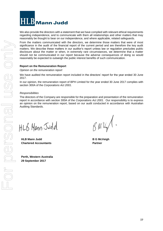

We also provide the directors with a statement that we have complied with relevant ethical requirements regarding independence, and to communicate with them all relationships and other matters that may reasonably be thought to bear on our independence, and where applicable, related safeguards.

From the matters communicated with the directors, we determine those matters that were of most significance in the audit of the financial report of the current period and are therefore the key audit matters. We describe these matters in our auditor's report unless law or regulation precludes public disclosure about the matter or when, in extremely rare circumstances, we determine that a matter should not be communicated in our report because the adverse consequences of doing so would reasonably be expected to outweigh the public interest benefits of such communication.

# **Report on the Remuneration Report**

#### *Opinion on the remuneration report*

We have audited the remuneration report included in the directors' report for the year ended 30 June 2017.

In our opinion, the remuneration report of BPH Limited for the year ended 30 June 2017 complies with section 300A of the *Corporations Act 2001*.

#### *Responsibilities*

The directors of the Company are responsible for the preparation and presentation of the remuneration report in accordance with section 300A of the *Corporations Act 2001*. Our responsibility is to express an opinion on the remuneration report, based on our audit conducted in accordance with Australian Auditing Standards.

HLB Mann Judd

**HLB Mann Judd Chartered Accountants**

**Perth, Western Australia 29 September 2017**

 $BNV_{\gamma}/$ 

**B G McVeigh Partner**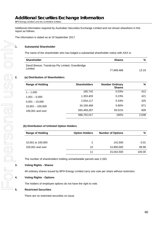Additional information required by Australian Securities Exchange Limited and not shown elsewhere in this report as follows.

The information is stated as at 19 September 2017.

The name of the shareholder who has lodged a substantial shareholder notice with ASX is:

| <b>Shareholder</b>                                          | <b>Shares</b> | %     |
|-------------------------------------------------------------|---------------|-------|
| David Breeze, Trandcorp Pty Limited, Grandbridge<br>Limited | 77,669,486    | 13.19 |

# **2. (a) Distribution of Shareholders**

| <b>Range of Holding</b> | <b>Shareholders</b> | <b>Number Ordinary</b><br><b>Shares</b> | %     |
|-------------------------|---------------------|-----------------------------------------|-------|
| $1 - 1,000$             | 165,742             | 0.03%                                   | 412   |
| $1,001 - 5,000$         | 1,353,403           | 0.23%                                   | 421   |
| $5,001 - 10,000$        | 2,554,117           | 0.43%                                   | 325   |
| $10,001 - 100,000$      | 34,159,468          | 5.80%                                   | 871   |
| 100,001 and over        | 550,469,287         | 93.51%                                  | 609   |
|                         | 588,702,017         | 100%                                    | 2,638 |

# **(b) Distribution of Unlisted Option Holders**

| <b>Range of Holding</b> | <b>Option Holders</b> | <b>Number of Options</b> | %      |
|-------------------------|-----------------------|--------------------------|--------|
|                         |                       |                          |        |
| 10,001 to 100,000       | 2                     | 142,500                  | 0.01   |
| 100,001 and over        | 10                    | 14,900,000               | 99.99  |
|                         | 11                    | 15,042,500               | 100.00 |

The number of shareholders holding unmarketable parcels was 2,283.

#### **3. Voting Rights - Shares**

All ordinary shares issued by BPH Energy Limited carry one vote per share without restriction.

#### **4. Voting Rights - Options**

The holders of employee options do not have the right to vote.

#### **5. Restricted Securities**

There are no restricted securities on issue.